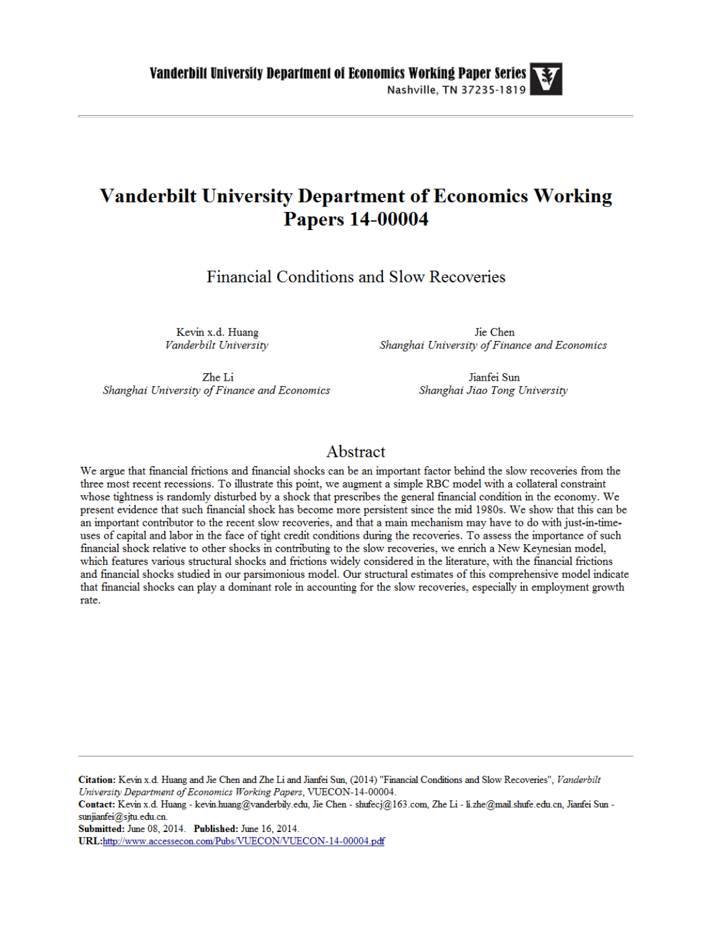# **Vanderbilt University Department of Economics Working Papers 14-00004**

Financial Conditions and Slow Recoveries

Kevin x.d. Huang Vanderbilt University

Jie Chen Shanghai University of Finance and Economics

Zhe Li Shanghai University of Finance and Economics

Jianfei Sun Shanghai Jiao Tong University

## Abstract

We argue that financial frictions and financial shocks can be an important factor behind the slow recoveries from the three most recent recessions. To illustrate this point, we augment a simple RBC model with a collateral constraint whose tightness is randomly disturbed by a shock that prescribes the general financial condition in the economy. We present evidence that such financial shock has become more persistent since the mid 1980s. We show that this can be an important contributor to the recent slow recoveries, and that a main mechanism may have to do with just-in-timeuses of capital and labor in the face of tight credit conditions during the recoveries. To assess the importance of such financial shock relative to other shocks in contributing to the slow recoveries, we enrich a New Keynesian model, which features various structural shocks and frictions widely considered in the literature, with the financial frictions and financial shocks studied in our parsimonious model. Our structural estimates of this comprehensive model indicate that financial shocks can play a dominant role in accounting for the slow recoveries, especially in employment growth rate.

Citation: Kevin x.d. Huang and Jie Chen and Zhe Li and Jianfei Sun, (2014) "Financial Conditions and Slow Recoveries", Vanderbilt University Department of Economics Working Papers, VUECON-14-00004.

Contact: Kevin x.d. Huang - kevin.huang@vanderbily.edu, Jie Chen - shufecj@163.com, Zhe Li - li.zhe@mail.shufe.edu.cn, Jianfei Sun sunjianfei@sjtu.edu.cn.

Submitted: June 08, 2014. Published: June 16, 2014.

URL:http://www.accessecon.com/Pubs/VUECON/VUECON-14-00004.pdf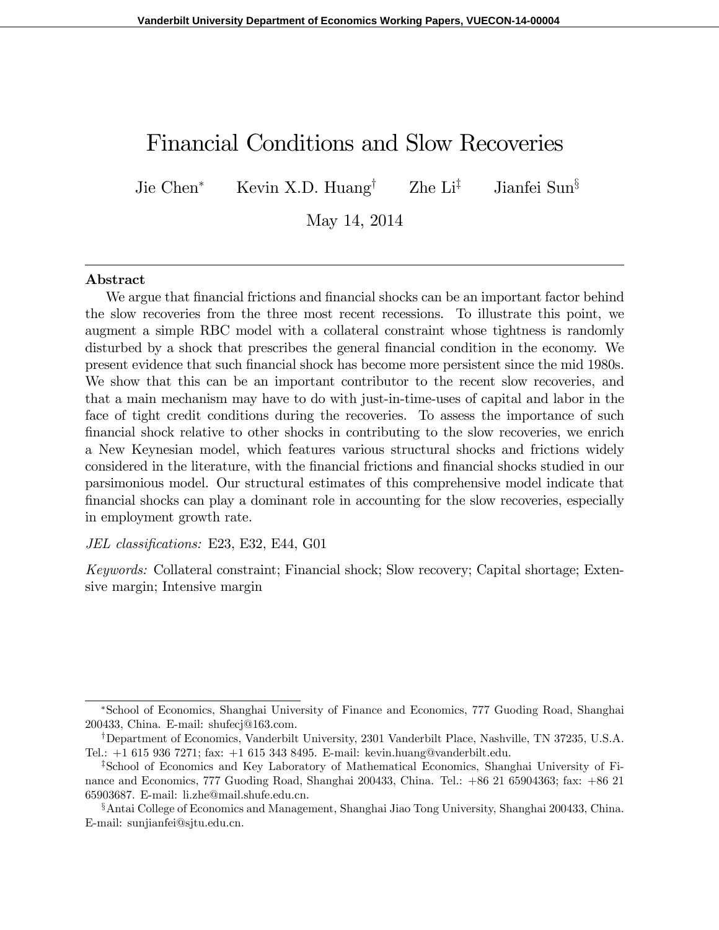## Financial Conditions and Slow Recoveries

Jie Chen<sup>\*</sup> Kevin X.D. Huang<sup>†</sup> Zhe Li<sup>‡</sup> Jianfei Sun<sup>§</sup>

May 14, 2014

#### Abstract

We argue that financial frictions and financial shocks can be an important factor behind the slow recoveries from the three most recent recessions. To illustrate this point, we augment a simple RBC model with a collateral constraint whose tightness is randomly disturbed by a shock that prescribes the general financial condition in the economy. We present evidence that such Önancial shock has become more persistent since the mid 1980s. We show that this can be an important contributor to the recent slow recoveries, and that a main mechanism may have to do with just-in-time-uses of capital and labor in the face of tight credit conditions during the recoveries. To assess the importance of such Önancial shock relative to other shocks in contributing to the slow recoveries, we enrich a New Keynesian model, which features various structural shocks and frictions widely considered in the literature, with the Önancial frictions and Önancial shocks studied in our parsimonious model. Our structural estimates of this comprehensive model indicate that Önancial shocks can play a dominant role in accounting for the slow recoveries, especially in employment growth rate.

#### JEL classifications: E23, E32, E44, G01

Keywords: Collateral constraint; Financial shock; Slow recovery; Capital shortage; Extensive margin; Intensive margin

School of Economics, Shanghai University of Finance and Economics, 777 Guoding Road, Shanghai 200433, China. E-mail: shufecj@163.com.

<sup>&</sup>lt;sup>†</sup>Department of Economics, Vanderbilt University, 2301 Vanderbilt Place, Nashville, TN 37235, U.S.A. Tel.: +1 615 936 7271; fax: +1 615 343 8495. E-mail: kevin.huang@vanderbilt.edu.

<sup>&</sup>lt;sup>‡</sup>School of Economics and Key Laboratory of Mathematical Economics, Shanghai University of Finance and Economics, 777 Guoding Road, Shanghai 200433, China. Tel.: +86 21 65904363; fax: +86 21 65903687. E-mail: li.zhe@mail.shufe.edu.cn.

<sup>&</sup>lt;sup>§</sup>Antai College of Economics and Management, Shanghai Jiao Tong University, Shanghai 200433, China. E-mail: sunjianfei@sjtu.edu.cn.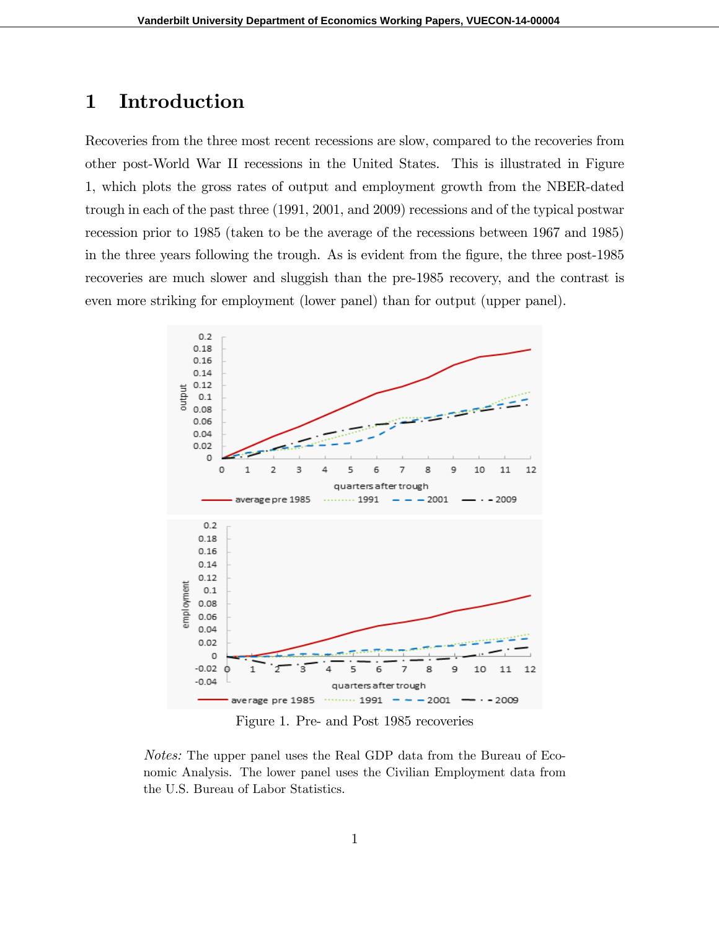## 1 Introduction

Recoveries from the three most recent recessions are slow, compared to the recoveries from other post-World War II recessions in the United States. This is illustrated in Figure 1, which plots the gross rates of output and employment growth from the NBER-dated trough in each of the past three (1991, 2001, and 2009) recessions and of the typical postwar recession prior to 1985 (taken to be the average of the recessions between 1967 and 1985) in the three years following the trough. As is evident from the figure, the three post-1985 recoveries are much slower and sluggish than the pre-1985 recovery, and the contrast is even more striking for employment (lower panel) than for output (upper panel).



Figure 1. Pre- and Post 1985 recoveries

Notes: The upper panel uses the Real GDP data from the Bureau of Economic Analysis. The lower panel uses the Civilian Employment data from the U.S. Bureau of Labor Statistics.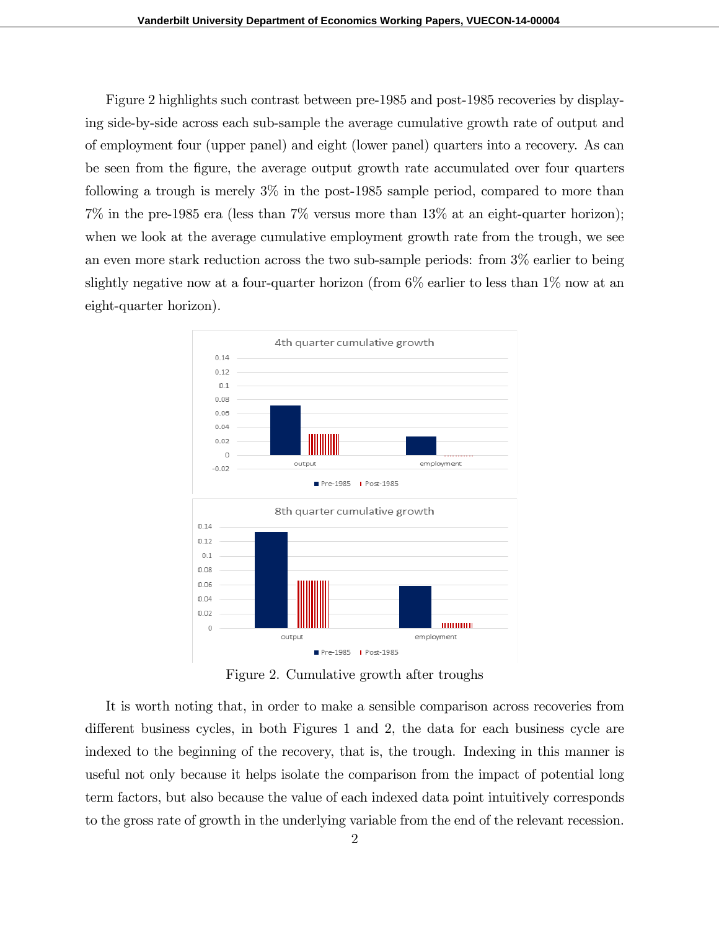Figure 2 highlights such contrast between pre-1985 and post-1985 recoveries by displaying side-by-side across each sub-sample the average cumulative growth rate of output and of employment four (upper panel) and eight (lower panel) quarters into a recovery. As can be seen from the Ögure, the average output growth rate accumulated over four quarters following a trough is merely 3% in the post-1985 sample period, compared to more than  $7\%$  in the pre-1985 era (less than  $7\%$  versus more than  $13\%$  at an eight-quarter horizon); when we look at the average cumulative employment growth rate from the trough, we see an even more stark reduction across the two sub-sample periods: from 3% earlier to being slightly negative now at a four-quarter horizon (from 6% earlier to less than 1% now at an eight-quarter horizon).



Figure 2. Cumulative growth after troughs

It is worth noting that, in order to make a sensible comparison across recoveries from different business cycles, in both Figures 1 and 2, the data for each business cycle are indexed to the beginning of the recovery, that is, the trough. Indexing in this manner is useful not only because it helps isolate the comparison from the impact of potential long term factors, but also because the value of each indexed data point intuitively corresponds to the gross rate of growth in the underlying variable from the end of the relevant recession.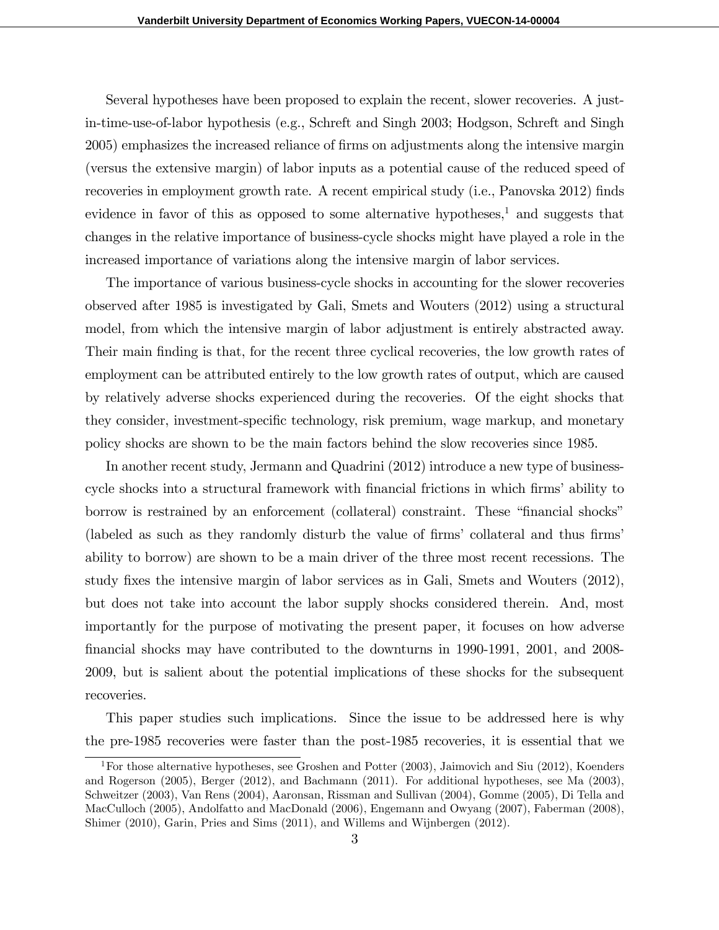Several hypotheses have been proposed to explain the recent, slower recoveries. A justin-time-use-of-labor hypothesis (e.g., Schreft and Singh 2003; Hodgson, Schreft and Singh 2005) emphasizes the increased reliance of Örms on adjustments along the intensive margin (versus the extensive margin) of labor inputs as a potential cause of the reduced speed of recoveries in employment growth rate. A recent empirical study (i.e., Panovska 2012) finds evidence in favor of this as opposed to some alternative hypotheses,<sup>1</sup> and suggests that changes in the relative importance of business-cycle shocks might have played a role in the increased importance of variations along the intensive margin of labor services.

The importance of various business-cycle shocks in accounting for the slower recoveries observed after 1985 is investigated by Gali, Smets and Wouters (2012) using a structural model, from which the intensive margin of labor adjustment is entirely abstracted away. Their main finding is that, for the recent three cyclical recoveries, the low growth rates of employment can be attributed entirely to the low growth rates of output, which are caused by relatively adverse shocks experienced during the recoveries. Of the eight shocks that they consider, investment-specific technology, risk premium, wage markup, and monetary policy shocks are shown to be the main factors behind the slow recoveries since 1985.

In another recent study, Jermann and Quadrini (2012) introduce a new type of businesscycle shocks into a structural framework with financial frictions in which firms' ability to borrow is restrained by an enforcement (collateral) constraint. These "financial shocks" (labeled as such as they randomly disturb the value of firms' collateral and thus firms' ability to borrow) are shown to be a main driver of the three most recent recessions. The study fixes the intensive margin of labor services as in Gali, Smets and Wouters (2012), but does not take into account the labor supply shocks considered therein. And, most importantly for the purpose of motivating the present paper, it focuses on how adverse Önancial shocks may have contributed to the downturns in 1990-1991, 2001, and 2008- 2009, but is salient about the potential implications of these shocks for the subsequent recoveries.

This paper studies such implications. Since the issue to be addressed here is why the pre-1985 recoveries were faster than the post-1985 recoveries, it is essential that we

<sup>1</sup>For those alternative hypotheses, see Groshen and Potter (2003), Jaimovich and Siu (2012), Koenders and Rogerson (2005), Berger (2012), and Bachmann (2011). For additional hypotheses, see Ma (2003), Schweitzer (2003), Van Rens (2004), Aaronsan, Rissman and Sullivan (2004), Gomme (2005), Di Tella and MacCulloch (2005), Andolfatto and MacDonald (2006), Engemann and Owyang (2007), Faberman (2008), Shimer (2010), Garin, Pries and Sims (2011), and Willems and Wijnbergen (2012).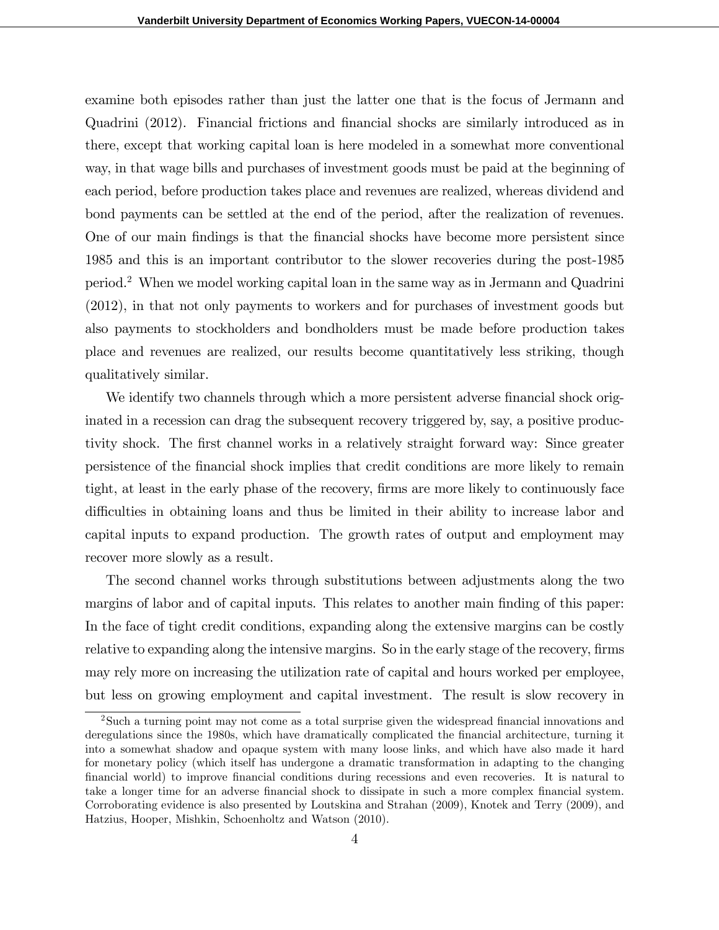examine both episodes rather than just the latter one that is the focus of Jermann and Quadrini (2012). Financial frictions and Önancial shocks are similarly introduced as in there, except that working capital loan is here modeled in a somewhat more conventional way, in that wage bills and purchases of investment goods must be paid at the beginning of each period, before production takes place and revenues are realized, whereas dividend and bond payments can be settled at the end of the period, after the realization of revenues. One of our main findings is that the financial shocks have become more persistent since 1985 and this is an important contributor to the slower recoveries during the post-1985 period.<sup>2</sup> When we model working capital loan in the same way as in Jermann and Quadrini (2012), in that not only payments to workers and for purchases of investment goods but also payments to stockholders and bondholders must be made before production takes place and revenues are realized, our results become quantitatively less striking, though qualitatively similar.

We identify two channels through which a more persistent adverse financial shock originated in a recession can drag the subsequent recovery triggered by, say, a positive productivity shock. The first channel works in a relatively straight forward way: Since greater persistence of the Önancial shock implies that credit conditions are more likely to remain tight, at least in the early phase of the recovery, firms are more likely to continuously face difficulties in obtaining loans and thus be limited in their ability to increase labor and capital inputs to expand production. The growth rates of output and employment may recover more slowly as a result.

The second channel works through substitutions between adjustments along the two margins of labor and of capital inputs. This relates to another main finding of this paper: In the face of tight credit conditions, expanding along the extensive margins can be costly relative to expanding along the intensive margins. So in the early stage of the recovery, firms may rely more on increasing the utilization rate of capital and hours worked per employee, but less on growing employment and capital investment. The result is slow recovery in

<sup>&</sup>lt;sup>2</sup>Such a turning point may not come as a total surprise given the widespread financial innovations and deregulations since the 1980s, which have dramatically complicated the financial architecture, turning it into a somewhat shadow and opaque system with many loose links, and which have also made it hard for monetary policy (which itself has undergone a dramatic transformation in adapting to the changing Önancial world) to improve Önancial conditions during recessions and even recoveries. It is natural to take a longer time for an adverse financial shock to dissipate in such a more complex financial system. Corroborating evidence is also presented by Loutskina and Strahan (2009), Knotek and Terry (2009), and Hatzius, Hooper, Mishkin, Schoenholtz and Watson (2010).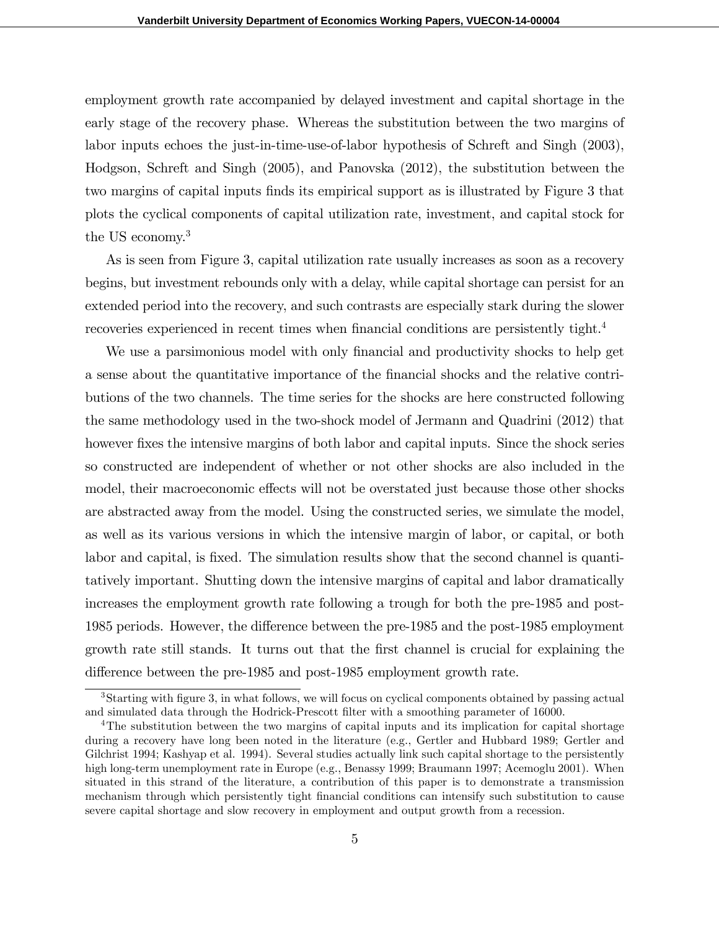employment growth rate accompanied by delayed investment and capital shortage in the early stage of the recovery phase. Whereas the substitution between the two margins of labor inputs echoes the just-in-time-use-of-labor hypothesis of Schreft and Singh (2003), Hodgson, Schreft and Singh (2005), and Panovska (2012), the substitution between the two margins of capital inputs finds its empirical support as is illustrated by Figure 3 that plots the cyclical components of capital utilization rate, investment, and capital stock for the US economy.<sup>3</sup>

As is seen from Figure 3, capital utilization rate usually increases as soon as a recovery begins, but investment rebounds only with a delay, while capital shortage can persist for an extended period into the recovery, and such contrasts are especially stark during the slower recoveries experienced in recent times when financial conditions are persistently tight.<sup>4</sup>

We use a parsimonious model with only financial and productivity shocks to help get a sense about the quantitative importance of the Önancial shocks and the relative contributions of the two channels. The time series for the shocks are here constructed following the same methodology used in the two-shock model of Jermann and Quadrini (2012) that however fixes the intensive margins of both labor and capital inputs. Since the shock series so constructed are independent of whether or not other shocks are also included in the model, their macroeconomic effects will not be overstated just because those other shocks are abstracted away from the model. Using the constructed series, we simulate the model, as well as its various versions in which the intensive margin of labor, or capital, or both labor and capital, is fixed. The simulation results show that the second channel is quantitatively important. Shutting down the intensive margins of capital and labor dramatically increases the employment growth rate following a trough for both the pre-1985 and post-1985 periods. However, the difference between the pre-1985 and the post-1985 employment growth rate still stands. It turns out that the Örst channel is crucial for explaining the difference between the pre-1985 and post-1985 employment growth rate.

<sup>&</sup>lt;sup>3</sup>Starting with figure 3, in what follows, we will focus on cyclical components obtained by passing actual and simulated data through the Hodrick-Prescott filter with a smoothing parameter of 16000.

<sup>&</sup>lt;sup>4</sup>The substitution between the two margins of capital inputs and its implication for capital shortage during a recovery have long been noted in the literature (e.g., Gertler and Hubbard 1989; Gertler and Gilchrist 1994; Kashyap et al. 1994). Several studies actually link such capital shortage to the persistently high long-term unemployment rate in Europe (e.g., Benassy 1999; Braumann 1997; Acemoglu 2001). When situated in this strand of the literature, a contribution of this paper is to demonstrate a transmission mechanism through which persistently tight financial conditions can intensify such substitution to cause severe capital shortage and slow recovery in employment and output growth from a recession.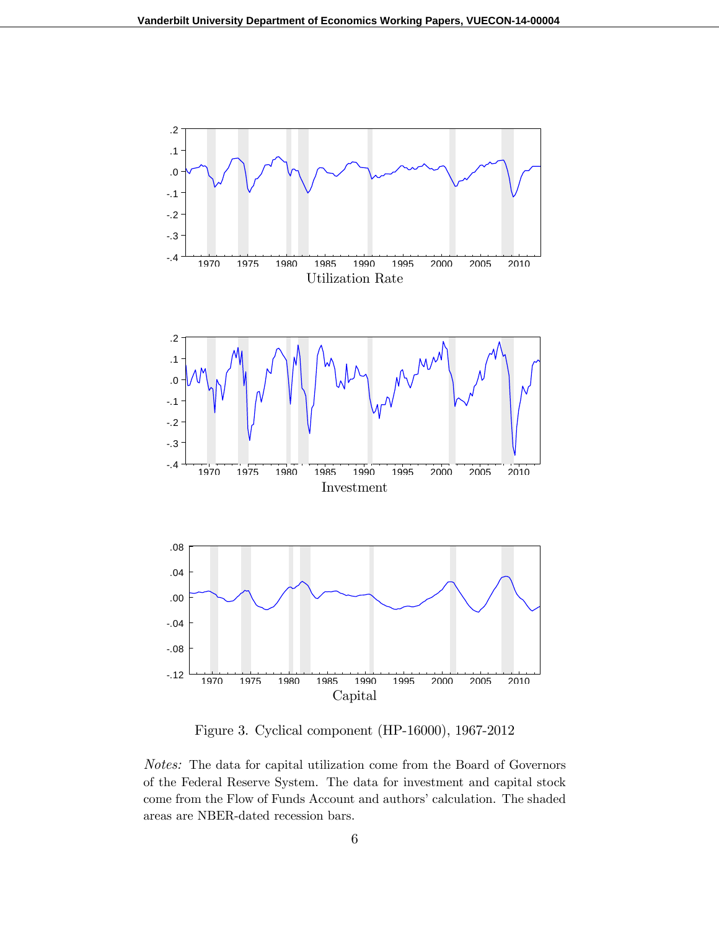

Figure 3. Cyclical component (HP-16000), 1967-2012

Notes: The data for capital utilization come from the Board of Governors of the Federal Reserve System. The data for investment and capital stock come from the Flow of Funds Account and authors' calculation. The shaded areas are NBER-dated recession bars.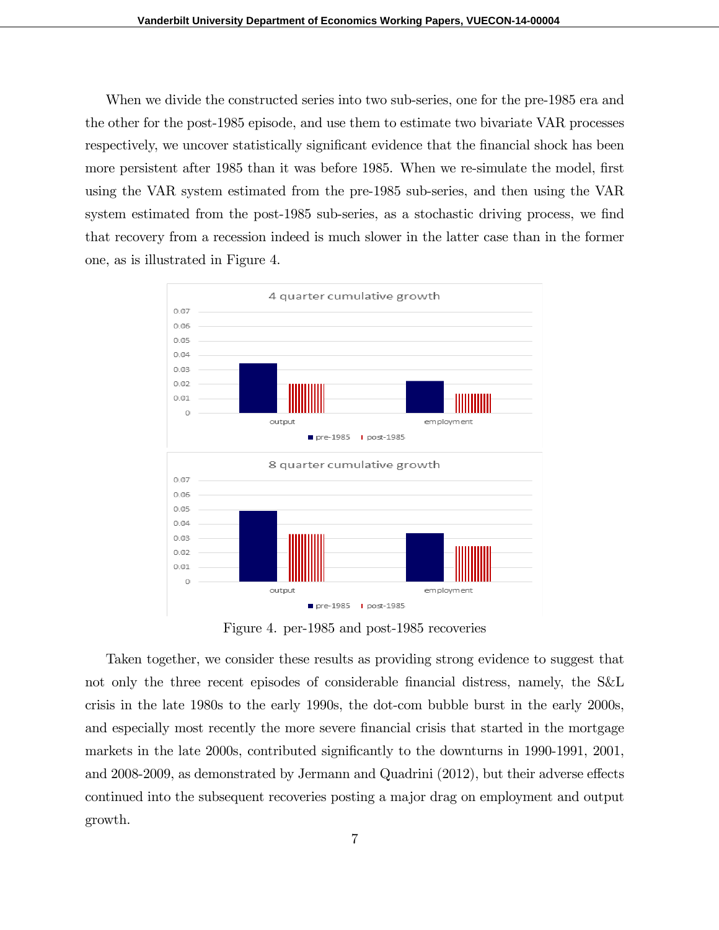When we divide the constructed series into two sub-series, one for the pre-1985 era and the other for the post-1985 episode, and use them to estimate two bivariate VAR processes respectively, we uncover statistically significant evidence that the financial shock has been more persistent after 1985 than it was before 1985. When we re-simulate the model, first using the VAR system estimated from the pre-1985 sub-series, and then using the VAR system estimated from the post-1985 sub-series, as a stochastic driving process, we find that recovery from a recession indeed is much slower in the latter case than in the former one, as is illustrated in Figure 4.



Figure 4. per-1985 and post-1985 recoveries

Taken together, we consider these results as providing strong evidence to suggest that not only the three recent episodes of considerable financial distress, namely, the S&L crisis in the late 1980s to the early 1990s, the dot-com bubble burst in the early 2000s, and especially most recently the more severe financial crisis that started in the mortgage markets in the late 2000s, contributed significantly to the downturns in 1990-1991, 2001, and  $2008-2009$ , as demonstrated by Jermann and Quadrini  $(2012)$ , but their adverse effects continued into the subsequent recoveries posting a major drag on employment and output growth.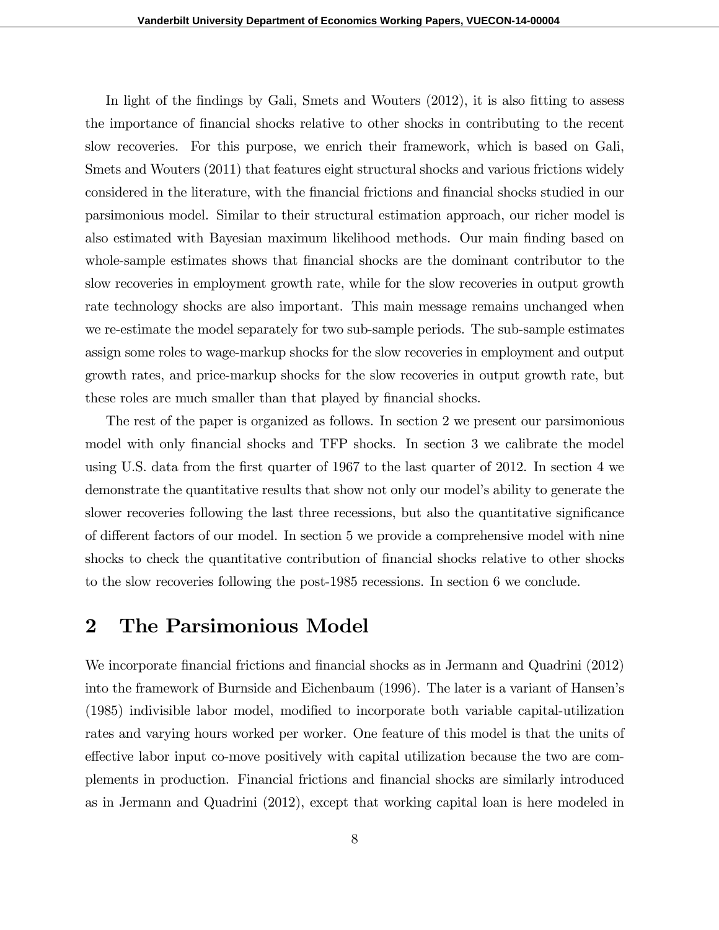In light of the findings by Gali, Smets and Wouters  $(2012)$ , it is also fitting to assess the importance of Önancial shocks relative to other shocks in contributing to the recent slow recoveries. For this purpose, we enrich their framework, which is based on Gali, Smets and Wouters (2011) that features eight structural shocks and various frictions widely considered in the literature, with the Önancial frictions and Önancial shocks studied in our parsimonious model. Similar to their structural estimation approach, our richer model is also estimated with Bayesian maximum likelihood methods. Our main Önding based on whole-sample estimates shows that financial shocks are the dominant contributor to the slow recoveries in employment growth rate, while for the slow recoveries in output growth rate technology shocks are also important. This main message remains unchanged when we re-estimate the model separately for two sub-sample periods. The sub-sample estimates assign some roles to wage-markup shocks for the slow recoveries in employment and output growth rates, and price-markup shocks for the slow recoveries in output growth rate, but these roles are much smaller than that played by financial shocks.

The rest of the paper is organized as follows. In section 2 we present our parsimonious model with only financial shocks and TFP shocks. In section 3 we calibrate the model using U.S. data from the first quarter of 1967 to the last quarter of 2012. In section 4 we demonstrate the quantitative results that show not only our modelís ability to generate the slower recoveries following the last three recessions, but also the quantitative significance of different factors of our model. In section 5 we provide a comprehensive model with nine shocks to check the quantitative contribution of financial shocks relative to other shocks to the slow recoveries following the post-1985 recessions. In section 6 we conclude.

## 2 The Parsimonious Model

We incorporate financial frictions and financial shocks as in Jermann and Quadrini (2012) into the framework of Burnside and Eichenbaum (1996). The later is a variant of Hansen's  $(1985)$  indivisible labor model, modified to incorporate both variable capital-utilization rates and varying hours worked per worker. One feature of this model is that the units of effective labor input co-move positively with capital utilization because the two are complements in production. Financial frictions and Önancial shocks are similarly introduced as in Jermann and Quadrini (2012), except that working capital loan is here modeled in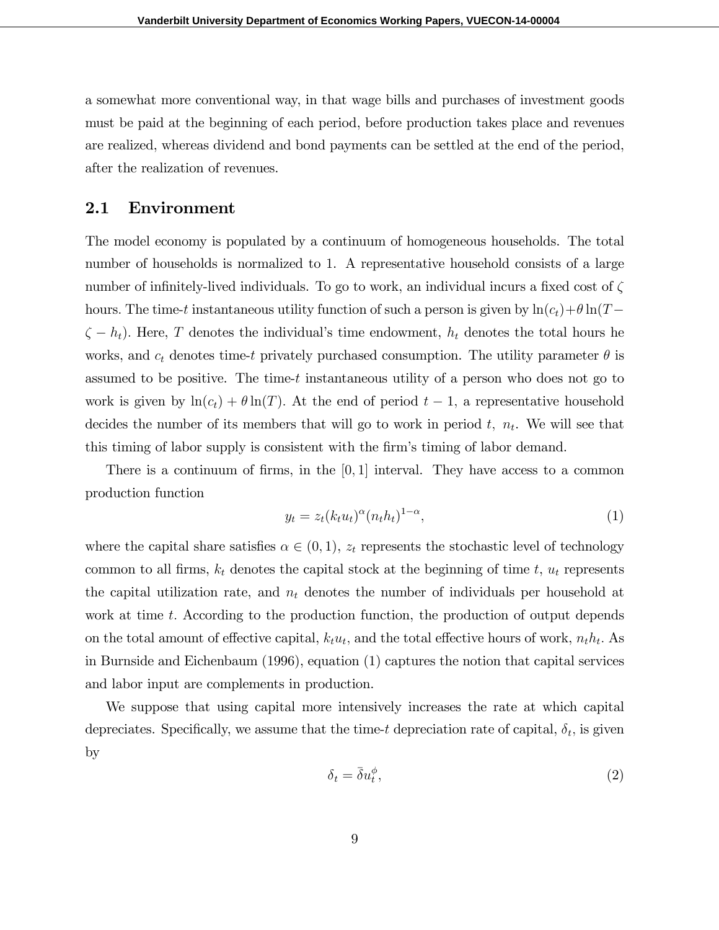a somewhat more conventional way, in that wage bills and purchases of investment goods must be paid at the beginning of each period, before production takes place and revenues are realized, whereas dividend and bond payments can be settled at the end of the period, after the realization of revenues.

## 2.1 Environment

The model economy is populated by a continuum of homogeneous households. The total number of households is normalized to 1. A representative household consists of a large number of infinitely-lived individuals. To go to work, an individual incurs a fixed cost of  $\zeta$ hours. The time-t instantaneous utility function of such a person is given by  $\ln(c_t)+\theta\ln(T \zeta - h_t$ ). Here, T denotes the individual's time endowment,  $h_t$  denotes the total hours he works, and  $c_t$  denotes time-t privately purchased consumption. The utility parameter  $\theta$  is assumed to be positive. The time-t instantaneous utility of a person who does not go to work is given by  $\ln(c_t) + \theta \ln(T)$ . At the end of period  $t - 1$ , a representative household decides the number of its members that will go to work in period  $t$ ,  $n_t$ . We will see that this timing of labor supply is consistent with the firm's timing of labor demand.

There is a continuum of firms, in the  $[0, 1]$  interval. They have access to a common production function

$$
y_t = z_t (k_t u_t)^{\alpha} (n_t h_t)^{1-\alpha}, \qquad (1)
$$

where the capital share satisfies  $\alpha \in (0, 1)$ ,  $z_t$  represents the stochastic level of technology common to all firms,  $k_t$  denotes the capital stock at the beginning of time t,  $u_t$  represents the capital utilization rate, and  $n_t$  denotes the number of individuals per household at work at time t. According to the production function, the production of output depends on the total amount of effective capital,  $k_t u_t$ , and the total effective hours of work,  $n_t h_t$ . As in Burnside and Eichenbaum (1996), equation (1) captures the notion that capital services and labor input are complements in production.

We suppose that using capital more intensively increases the rate at which capital depreciates. Specifically, we assume that the time-t depreciation rate of capital,  $\delta_t$ , is given by

$$
\delta_t = \bar{\delta} u_t^{\phi},\tag{2}
$$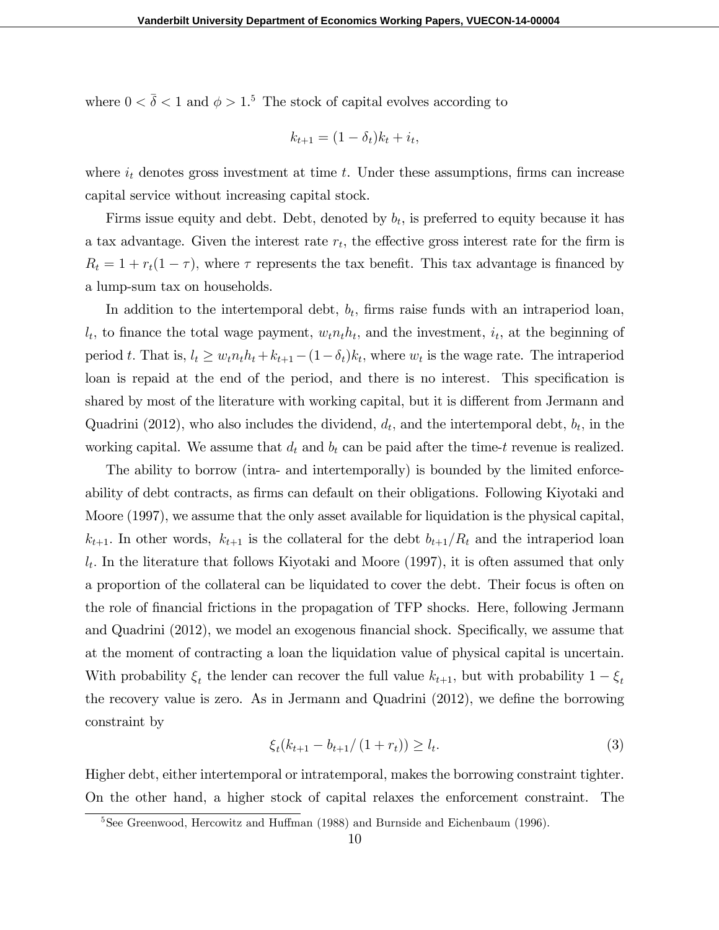where  $0 < \bar{\delta} < 1$  and  $\phi > 1$ .<sup>5</sup> The stock of capital evolves according to

$$
k_{t+1} = (1 - \delta_t)k_t + i_t,
$$

where  $i_t$  denotes gross investment at time t. Under these assumptions, firms can increase capital service without increasing capital stock.

Firms issue equity and debt. Debt, denoted by  $b_t$ , is preferred to equity because it has a tax advantage. Given the interest rate  $r_t$ , the effective gross interest rate for the firm is  $R_t = 1 + r_t(1 - \tau)$ , where  $\tau$  represents the tax benefit. This tax advantage is financed by a lump-sum tax on households.

In addition to the intertemporal debt,  $b_t$ , firms raise funds with an intraperiod loan,  $l_t$ , to finance the total wage payment,  $w_t n_t h_t$ , and the investment,  $i_t$ , at the beginning of period t. That is,  $l_t \geq w_t n_t h_t + k_{t+1} - (1 - \delta_t) k_t$ , where  $w_t$  is the wage rate. The intraperiod loan is repaid at the end of the period, and there is no interest. This specification is shared by most of the literature with working capital, but it is different from Jermann and Quadrini (2012), who also includes the dividend,  $d_t$ , and the intertemporal debt,  $b_t$ , in the working capital. We assume that  $d_t$  and  $b_t$  can be paid after the time-t revenue is realized.

The ability to borrow (intra- and intertemporally) is bounded by the limited enforceability of debt contracts, as firms can default on their obligations. Following Kiyotaki and Moore (1997), we assume that the only asset available for liquidation is the physical capital,  $k_{t+1}$ . In other words,  $k_{t+1}$  is the collateral for the debt  $b_{t+1}/R_t$  and the intraperiod loan  $l_t$ . In the literature that follows Kiyotaki and Moore (1997), it is often assumed that only a proportion of the collateral can be liquidated to cover the debt. Their focus is often on the role of Önancial frictions in the propagation of TFP shocks. Here, following Jermann and Quadrini  $(2012)$ , we model an exogenous financial shock. Specifically, we assume that at the moment of contracting a loan the liquidation value of physical capital is uncertain. With probability  $\xi_t$  the lender can recover the full value  $k_{t+1}$ , but with probability  $1 - \xi_t$ the recovery value is zero. As in Jermann and Quadrini  $(2012)$ , we define the borrowing constraint by

$$
\xi_t(k_{t+1} - b_{t+1}/(1+r_t)) \ge l_t.
$$
\n(3)

Higher debt, either intertemporal or intratemporal, makes the borrowing constraint tighter. On the other hand, a higher stock of capital relaxes the enforcement constraint. The

 $5$ See Greenwood, Hercowitz and Huffman (1988) and Burnside and Eichenbaum (1996).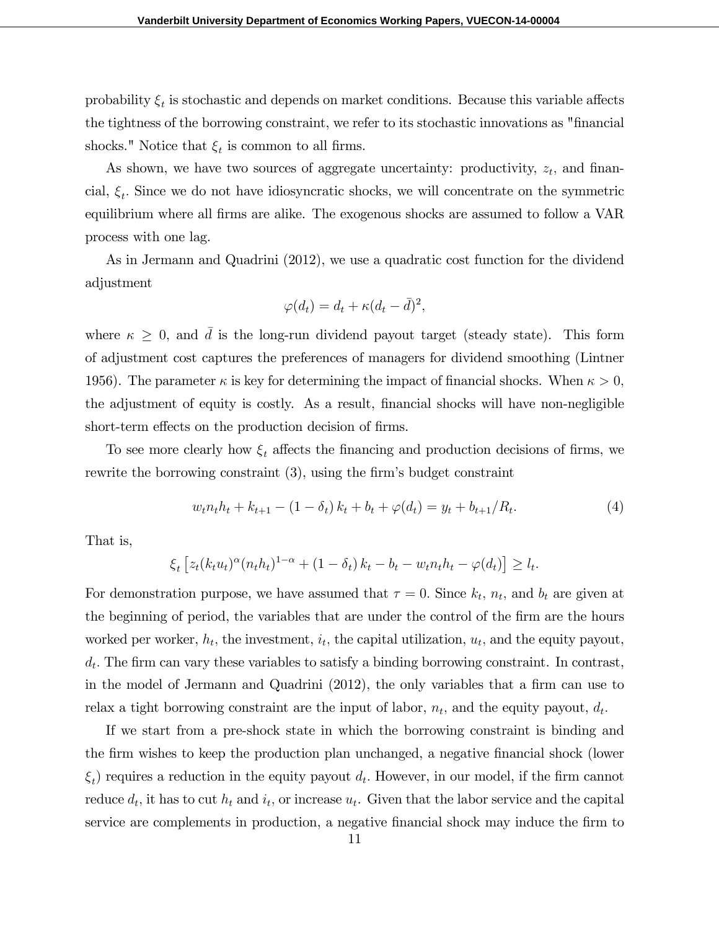probability  $\xi_t$  is stochastic and depends on market conditions. Because this variable affects the tightness of the borrowing constraint, we refer to its stochastic innovations as "Önancial shocks." Notice that  $\xi_t$  is common to all firms.

As shown, we have two sources of aggregate uncertainty: productivity,  $z_t$ , and financial,  $\xi_t$ . Since we do not have idiosyncratic shocks, we will concentrate on the symmetric equilibrium where all firms are alike. The exogenous shocks are assumed to follow a VAR process with one lag.

As in Jermann and Quadrini (2012), we use a quadratic cost function for the dividend adjustment

$$
\varphi(d_t) = d_t + \kappa (d_t - \bar{d})^2,
$$

where  $\kappa \geq 0$ , and d is the long-run dividend payout target (steady state). This form of adjustment cost captures the preferences of managers for dividend smoothing (Lintner 1956). The parameter  $\kappa$  is key for determining the impact of financial shocks. When  $\kappa > 0$ , the adjustment of equity is costly. As a result, financial shocks will have non-negligible short-term effects on the production decision of firms.

To see more clearly how  $\xi_t$  affects the financing and production decisions of firms, we rewrite the borrowing constraint  $(3)$ , using the firm's budget constraint

$$
w_t n_t h_t + k_{t+1} - (1 - \delta_t) k_t + b_t + \varphi(d_t) = y_t + b_{t+1}/R_t.
$$
\n<sup>(4)</sup>

That is,

$$
\xi_t \left[ z_t (k_t u_t)^{\alpha} (n_t h_t)^{1-\alpha} + (1 - \delta_t) k_t - b_t - w_t n_t h_t - \varphi(d_t) \right] \ge l_t.
$$

For demonstration purpose, we have assumed that  $\tau = 0$ . Since  $k_t$ ,  $n_t$ , and  $b_t$  are given at the beginning of period, the variables that are under the control of the firm are the hours worked per worker,  $h_t$ , the investment,  $i_t$ , the capital utilization,  $u_t$ , and the equity payout,  $d_t$ . The firm can vary these variables to satisfy a binding borrowing constraint. In contrast, in the model of Jermann and Quadrini  $(2012)$ , the only variables that a firm can use to relax a tight borrowing constraint are the input of labor,  $n_t$ , and the equity payout,  $d_t$ .

If we start from a pre-shock state in which the borrowing constraint is binding and the firm wishes to keep the production plan unchanged, a negative financial shock (lower  $\xi_t$ ) requires a reduction in the equity payout  $d_t$ . However, in our model, if the firm cannot reduce  $d_t$ , it has to cut  $h_t$  and  $i_t$ , or increase  $u_t$ . Given that the labor service and the capital service are complements in production, a negative financial shock may induce the firm to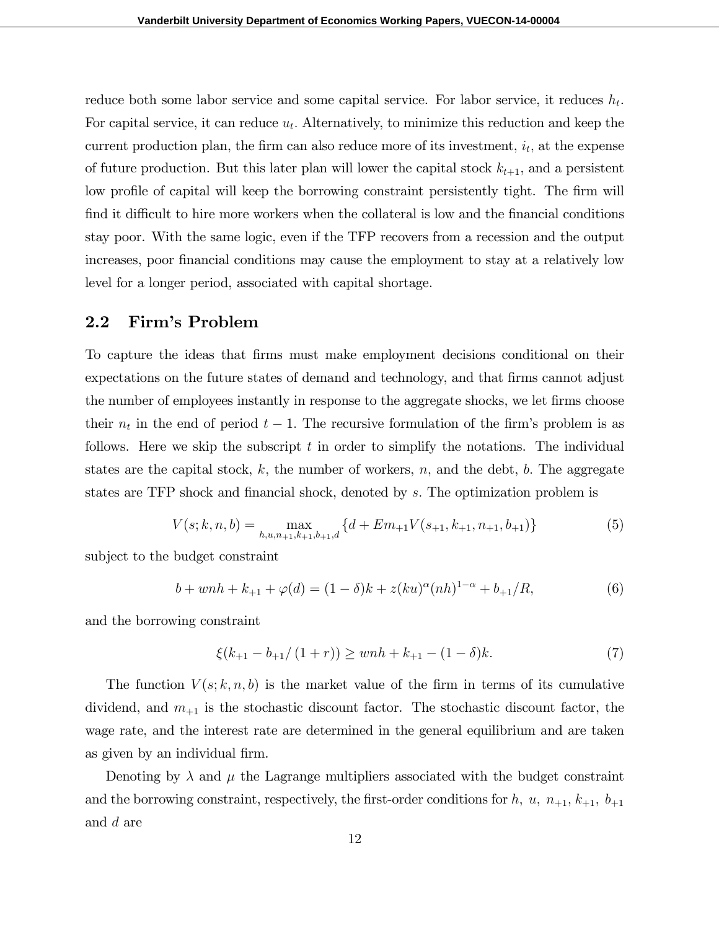reduce both some labor service and some capital service. For labor service, it reduces  $h_t$ . For capital service, it can reduce  $u_t$ . Alternatively, to minimize this reduction and keep the current production plan, the firm can also reduce more of its investment,  $i_t$ , at the expense of future production. But this later plan will lower the capital stock  $k_{t+1}$ , and a persistent low profile of capital will keep the borrowing constraint persistently tight. The firm will find it difficult to hire more workers when the collateral is low and the financial conditions stay poor. With the same logic, even if the TFP recovers from a recession and the output increases, poor Önancial conditions may cause the employment to stay at a relatively low level for a longer period, associated with capital shortage.

### 2.2 Firm's Problem

To capture the ideas that Örms must make employment decisions conditional on their expectations on the future states of demand and technology, and that firms cannot adjust the number of employees instantly in response to the aggregate shocks, we let firms choose their  $n_t$  in the end of period  $t-1$ . The recursive formulation of the firm's problem is as follows. Here we skip the subscript  $t$  in order to simplify the notations. The individual states are the capital stock,  $k$ , the number of workers,  $n$ , and the debt,  $b$ . The aggregate states are TFP shock and financial shock, denoted by s. The optimization problem is

$$
V(s; k, n, b) = \max_{h, u, n_{+1}, k_{+1}, b_{+1}, d} \{d + Em_{+1}V(s_{+1}, k_{+1}, n_{+1}, b_{+1})\}
$$
(5)

subject to the budget constraint

$$
b + wnh + k_{+1} + \varphi(d) = (1 - \delta)k + z(ku)^{\alpha}(nh)^{1 - \alpha} + b_{+1}/R,
$$
\n(6)

and the borrowing constraint

$$
\xi(k_{+1} - b_{+1}/(1+r)) \ge \wedge h + k_{+1} - (1-\delta)k. \tag{7}
$$

The function  $V(s; k, n, b)$  is the market value of the firm in terms of its cumulative dividend, and  $m_{+1}$  is the stochastic discount factor. The stochastic discount factor, the wage rate, and the interest rate are determined in the general equilibrium and are taken as given by an individual firm.

Denoting by  $\lambda$  and  $\mu$  the Lagrange multipliers associated with the budget constraint and the borrowing constraint, respectively, the first-order conditions for h, u,  $n_{+1}$ ,  $k_{+1}$ ,  $b_{+1}$ and d are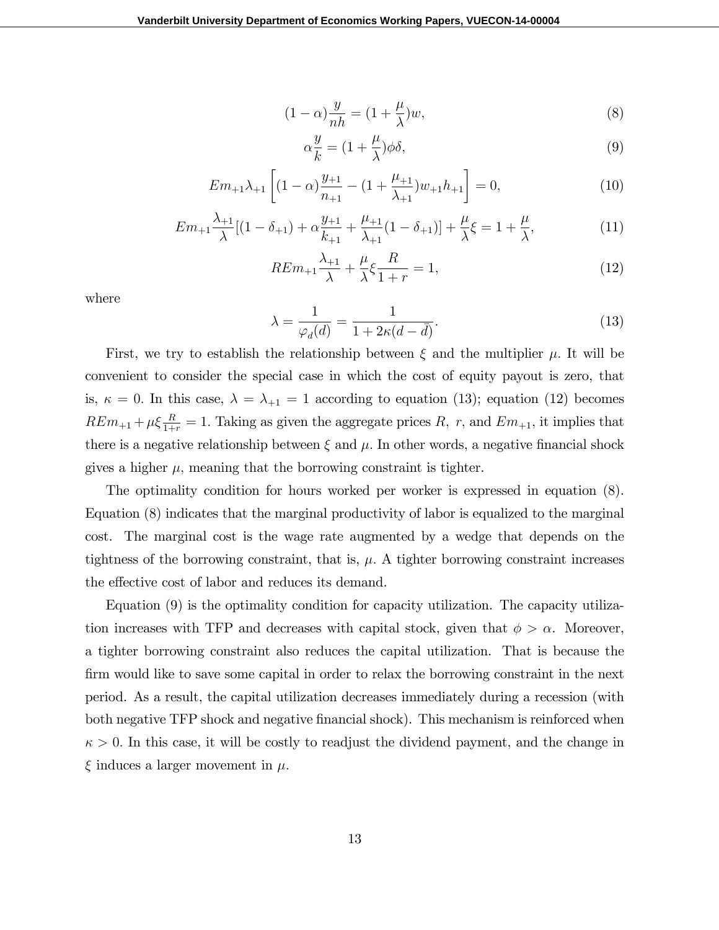$$
(1 - \alpha)\frac{y}{nh} = (1 + \frac{\mu}{\lambda})w,\tag{8}
$$

$$
\alpha \frac{y}{k} = (1 + \frac{\mu}{\lambda}) \phi \delta,\tag{9}
$$

$$
Em_{+1}\lambda_{+1}\left[ (1-\alpha)\frac{y_{+1}}{n_{+1}} - (1+\frac{\mu_{+1}}{\lambda_{+1}})w_{+1}h_{+1} \right] = 0,\tag{10}
$$

$$
Em_{+1} \frac{\lambda_{+1}}{\lambda} [(1 - \delta_{+1}) + \alpha \frac{y_{+1}}{k_{+1}} + \frac{\mu_{+1}}{\lambda_{+1}} (1 - \delta_{+1})] + \frac{\mu}{\lambda} \xi = 1 + \frac{\mu}{\lambda}, \tag{11}
$$

$$
REm_{+1}\frac{\lambda_{+1}}{\lambda} + \frac{\mu}{\lambda}\xi\frac{R}{1+r} = 1,\tag{12}
$$

where

$$
\lambda = \frac{1}{\varphi_d(d)} = \frac{1}{1 + 2\kappa(d - \bar{d})}.\tag{13}
$$

First, we try to establish the relationship between  $\xi$  and the multiplier  $\mu$ . It will be convenient to consider the special case in which the cost of equity payout is zero, that is,  $\kappa = 0$ . In this case,  $\lambda = \lambda_{+1} = 1$  according to equation (13); equation (12) becomes  $REm_{+1} + \mu \xi \frac{R}{1+r} = 1$ . Taking as given the aggregate prices R, r, and  $Em_{+1}$ , it implies that there is a negative relationship between  $\xi$  and  $\mu$ . In other words, a negative financial shock gives a higher  $\mu$ , meaning that the borrowing constraint is tighter.

The optimality condition for hours worked per worker is expressed in equation (8). Equation (8) indicates that the marginal productivity of labor is equalized to the marginal cost. The marginal cost is the wage rate augmented by a wedge that depends on the tightness of the borrowing constraint, that is,  $\mu$ . A tighter borrowing constraint increases the effective cost of labor and reduces its demand.

Equation (9) is the optimality condition for capacity utilization. The capacity utilization increases with TFP and decreases with capital stock, given that  $\phi > \alpha$ . Moreover, a tighter borrowing constraint also reduces the capital utilization. That is because the firm would like to save some capital in order to relax the borrowing constraint in the next period. As a result, the capital utilization decreases immediately during a recession (with both negative TFP shock and negative financial shock). This mechanism is reinforced when  $\kappa > 0$ . In this case, it will be costly to readjust the dividend payment, and the change in  $\xi$  induces a larger movement in  $\mu$ .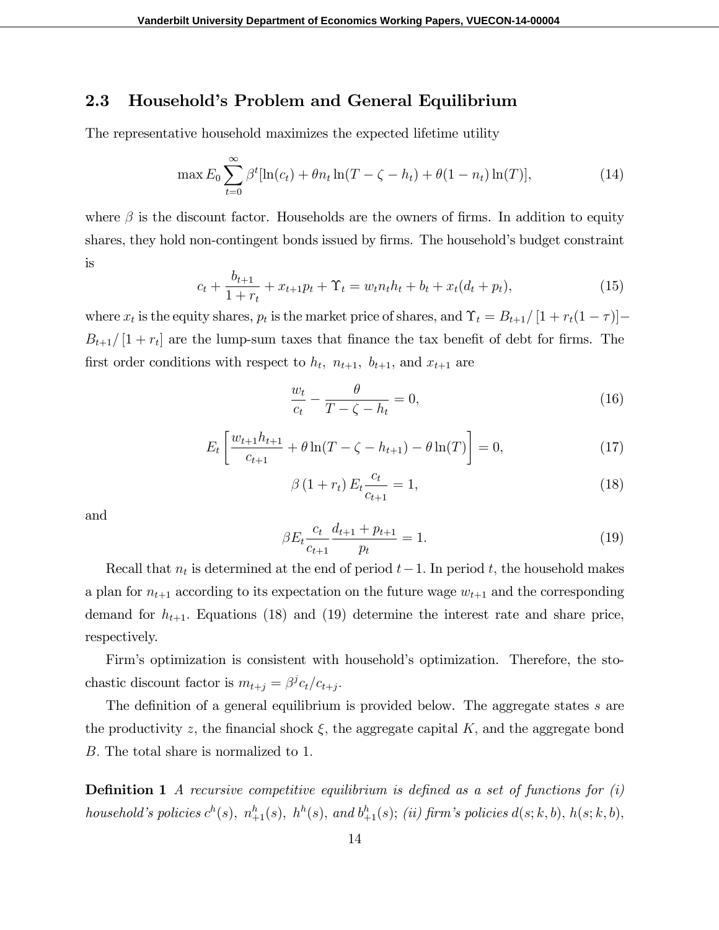### 2.3 Household's Problem and General Equilibrium

The representative household maximizes the expected lifetime utility

$$
\max E_0 \sum_{t=0}^{\infty} \beta^t [\ln(c_t) + \theta n_t \ln(T - \zeta - h_t) + \theta (1 - n_t) \ln(T)], \tag{14}
$$

where  $\beta$  is the discount factor. Households are the owners of firms. In addition to equity shares, they hold non-contingent bonds issued by firms. The household's budget constraint is

$$
c_t + \frac{b_{t+1}}{1+r_t} + x_{t+1}p_t + \Upsilon_t = w_t n_t h_t + b_t + x_t (d_t + p_t),
$$
\n(15)

where  $x_t$  is the equity shares,  $p_t$  is the market price of shares, and  $\Upsilon_t = B_{t+1}/[1 + r_t(1 - \tau)]$  $B_{t+1}/[1 + r_t]$  are the lump-sum taxes that finance the tax benefit of debt for firms. The first order conditions with respect to  $h_t$ ,  $n_{t+1}$ ,  $b_{t+1}$ , and  $x_{t+1}$  are

$$
\frac{w_t}{c_t} - \frac{\theta}{T - \zeta - h_t} = 0,\t\t(16)
$$

$$
E_t \left[ \frac{w_{t+1} h_{t+1}}{c_{t+1}} + \theta \ln(T - \zeta - h_{t+1}) - \theta \ln(T) \right] = 0, \tag{17}
$$

$$
\beta (1 + r_t) E_t \frac{c_t}{c_{t+1}} = 1,
$$
\n(18)

and

$$
\beta E_t \frac{c_t}{c_{t+1}} \frac{d_{t+1} + p_{t+1}}{p_t} = 1.
$$
\n(19)

Recall that  $n_t$  is determined at the end of period  $t-1$ . In period t, the household makes a plan for  $n_{t+1}$  according to its expectation on the future wage  $w_{t+1}$  and the corresponding demand for  $h_{t+1}$ . Equations (18) and (19) determine the interest rate and share price, respectively.

Firm's optimization is consistent with household's optimization. Therefore, the stochastic discount factor is  $m_{t+j} = \beta^{j} c_t / c_{t+j}$ .

The definition of a general equilibrium is provided below. The aggregate states  $s$  are the productivity z, the financial shock  $\xi$ , the aggregate capital K, and the aggregate bond B. The total share is normalized to 1.

**Definition 1** A recursive competitive equilibrium is defined as a set of functions for  $(i)$ household's policies  $c^h(s)$ ,  $n^h_{+1}(s)$ ,  $h^h(s)$ , and  $b^h_{+1}(s)$ ; (ii) firm's policies  $d(s; k, b)$ ,  $h(s; k, b)$ ,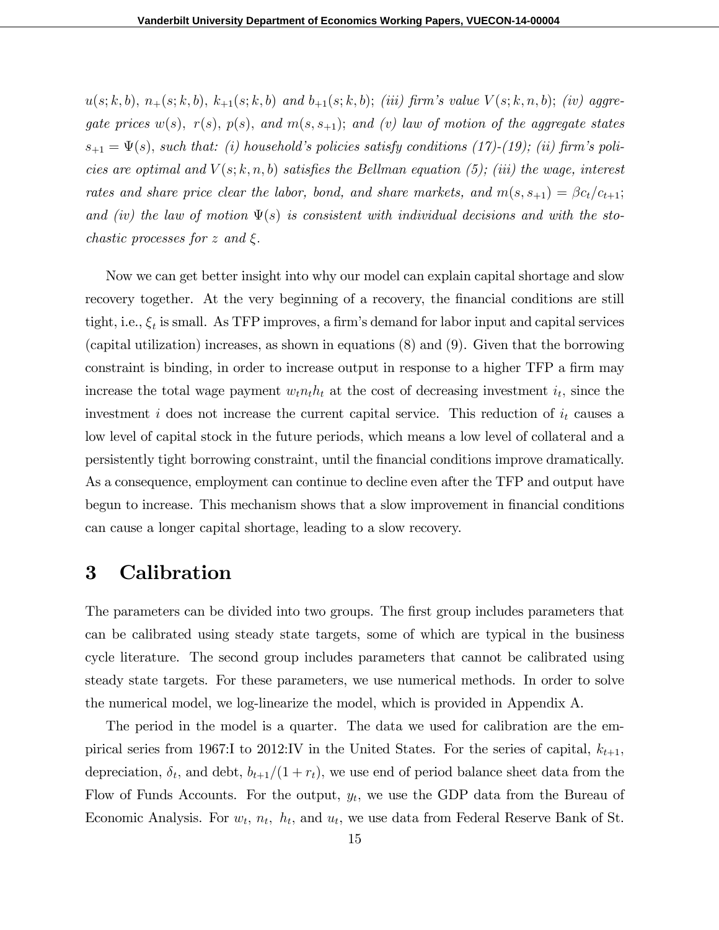$u(s; k, b), n_{+}(s; k, b), k_{+1}(s; k, b)$  and  $b_{+1}(s; k, b);$  (iii) firm's value  $V(s; k, n, b);$  (iv) aggregate prices  $w(s)$ ,  $r(s)$ ,  $p(s)$ , and  $m(s, s_{+1})$ ; and (v) law of motion of the aggregate states  $s_{+1} = \Psi(s)$ , such that: (i) household's policies satisfy conditions (17)-(19); (ii) firm's policies are optimal and  $V(s; k, n, b)$  satisfies the Bellman equation (5); (iii) the wage, interest rates and share price clear the labor, bond, and share markets, and  $m(s, s_{+1}) = \beta c_t/c_{t+1};$ and (iv) the law of motion  $\Psi(s)$  is consistent with individual decisions and with the stochastic processes for z and  $\xi$ .

Now we can get better insight into why our model can explain capital shortage and slow recovery together. At the very beginning of a recovery, the financial conditions are still tight, i.e.,  $\xi_t$  is small. As TFP improves, a firm's demand for labor input and capital services (capital utilization) increases, as shown in equations (8) and (9). Given that the borrowing constraint is binding, in order to increase output in response to a higher TFP a firm may increase the total wage payment  $w_t n_t h_t$  at the cost of decreasing investment  $i_t$ , since the investment i does not increase the current capital service. This reduction of  $i_t$  causes a low level of capital stock in the future periods, which means a low level of collateral and a persistently tight borrowing constraint, until the Önancial conditions improve dramatically. As a consequence, employment can continue to decline even after the TFP and output have begun to increase. This mechanism shows that a slow improvement in financial conditions can cause a longer capital shortage, leading to a slow recovery.

## 3 Calibration

The parameters can be divided into two groups. The first group includes parameters that can be calibrated using steady state targets, some of which are typical in the business cycle literature. The second group includes parameters that cannot be calibrated using steady state targets. For these parameters, we use numerical methods. In order to solve the numerical model, we log-linearize the model, which is provided in Appendix A.

The period in the model is a quarter. The data we used for calibration are the empirical series from 1967:I to 2012:IV in the United States. For the series of capital,  $k_{t+1}$ , depreciation,  $\delta_t$ , and debt,  $b_{t+1}/(1 + r_t)$ , we use end of period balance sheet data from the Flow of Funds Accounts. For the output,  $y_t$ , we use the GDP data from the Bureau of Economic Analysis. For  $w_t$ ,  $n_t$ ,  $h_t$ , and  $u_t$ , we use data from Federal Reserve Bank of St.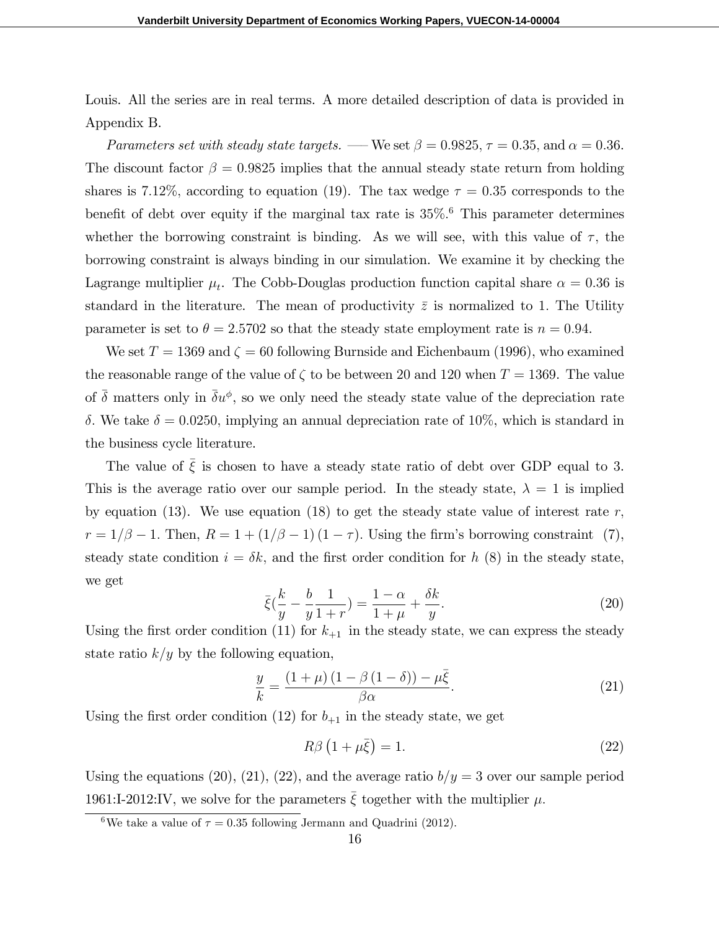Louis. All the series are in real terms. A more detailed description of data is provided in Appendix B.

Parameters set with steady state targets. — We set  $\beta = 0.9825, \tau = 0.35$ , and  $\alpha = 0.36$ . The discount factor  $\beta = 0.9825$  implies that the annual steady state return from holding shares is 7.12%, according to equation (19). The tax wedge  $\tau = 0.35$  corresponds to the benefit of debt over equity if the marginal tax rate is  $35\%$ . This parameter determines whether the borrowing constraint is binding. As we will see, with this value of  $\tau$ , the borrowing constraint is always binding in our simulation. We examine it by checking the Lagrange multiplier  $\mu_t$ . The Cobb-Douglas production function capital share  $\alpha = 0.36$  is standard in the literature. The mean of productivity  $\bar{z}$  is normalized to 1. The Utility parameter is set to  $\theta = 2.5702$  so that the steady state employment rate is  $n = 0.94$ .

We set  $T = 1369$  and  $\zeta = 60$  following Burnside and Eichenbaum (1996), who examined the reasonable range of the value of  $\zeta$  to be between 20 and 120 when  $T = 1369$ . The value of  $\bar{\delta}$  matters only in  $\bar{\delta}u^{\phi}$ , so we only need the steady state value of the depreciation rate  $\delta$ . We take  $\delta = 0.0250$ , implying an annual depreciation rate of 10%, which is standard in the business cycle literature.

The value of  $\bar{\xi}$  is chosen to have a steady state ratio of debt over GDP equal to 3. This is the average ratio over our sample period. In the steady state,  $\lambda = 1$  is implied by equation (13). We use equation (18) to get the steady state value of interest rate r;  $r = 1/\beta - 1$ . Then,  $R = 1 + (1/\beta - 1)(1 - \tau)$ . Using the firm's borrowing constraint (7), steady state condition  $i = \delta k$ , and the first order condition for h (8) in the steady state, we get

$$
\bar{\xi}(\frac{k}{y} - \frac{b}{y}\frac{1}{1+r}) = \frac{1-\alpha}{1+\mu} + \frac{\delta k}{y}.\tag{20}
$$

Using the first order condition (11) for  $k_{+1}$  in the steady state, we can express the steady state ratio  $k/y$  by the following equation,

$$
\frac{y}{k} = \frac{\left(1 + \mu\right)\left(1 - \beta\left(1 - \delta\right)\right) - \mu\bar{\xi}}{\beta\alpha}.\tag{21}
$$

Using the first order condition (12) for  $b_{+1}$  in the steady state, we get

$$
R\beta \left(1+\mu\bar{\xi}\right) = 1. \tag{22}
$$

Using the equations (20), (21), (22), and the average ratio  $b/y=3$  over our sample period 1961:I-2012:IV, we solve for the parameters  $\bar{\xi}$  together with the multiplier  $\mu$ .

<sup>&</sup>lt;sup>6</sup>We take a value of  $\tau = 0.35$  following Jermann and Quadrini (2012).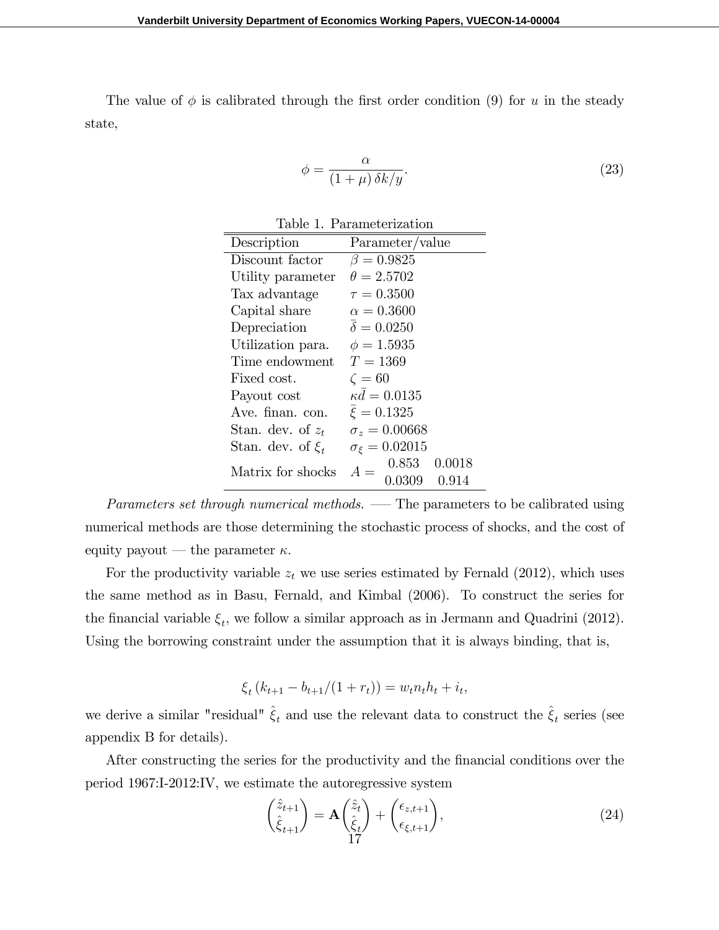The value of  $\phi$  is calibrated through the first order condition (9) for u in the steady state,

$$
\phi = \frac{\alpha}{(1+\mu)\,\delta k/y}.\tag{23}
$$

| Table 1. Parameterization |                                             |  |  |
|---------------------------|---------------------------------------------|--|--|
| Description               | Parameter/value                             |  |  |
| Discount factor           | $\beta = 0.9825$                            |  |  |
| Utility parameter         | $\theta = 2.5702$                           |  |  |
| Tax advantage             | $\tau = 0.3500$                             |  |  |
| Capital share             | $\alpha = 0.3600$                           |  |  |
| Depreciation              | $\bar{\delta} = 0.0250$                     |  |  |
| Utilization para.         | $\phi = 1.5935$                             |  |  |
| Time endowment            | $T=1369$                                    |  |  |
| Fixed cost.               | $\zeta=60$                                  |  |  |
| Payout cost               | $\kappa d = 0.0135$                         |  |  |
| Ave. finan. con.          | $\bar{\xi} = 0.1325$                        |  |  |
| Stan. dev. of $z_t$       | $\sigma_z = 0.00668$                        |  |  |
| Stan. dev. of $\xi_t$     | $\sigma_{\xi} = 0.02015$                    |  |  |
| Matrix for shocks         | 0.853<br>0.0018<br>$A =$<br>0.0309<br>0.914 |  |  |

Parameters set through numerical methods.  $\overline{\phantom{C}}$  The parameters to be calibrated using numerical methods are those determining the stochastic process of shocks, and the cost of equity payout — the parameter  $\kappa$ .

For the productivity variable  $z_t$  we use series estimated by Fernald (2012), which uses the same method as in Basu, Fernald, and Kimbal (2006). To construct the series for the financial variable  $\xi_t$ , we follow a similar approach as in Jermann and Quadrini (2012). Using the borrowing constraint under the assumption that it is always binding, that is,

$$
\xi_t (k_{t+1} - b_{t+1}/(1+r_t)) = w_t n_t h_t + i_t,
$$

we derive a similar "residual"  $\hat{\xi}_t$  and use the relevant data to construct the  $\hat{\xi}_t$  series (see appendix B for details).

After constructing the series for the productivity and the financial conditions over the period 1967:I-2012:IV, we estimate the autoregressive system

$$
\begin{pmatrix} \hat{z}_{t+1} \\ \hat{\xi}_{t+1} \end{pmatrix} = \mathbf{A} \begin{pmatrix} \hat{z}_t \\ \hat{\xi}_t \end{pmatrix} + \begin{pmatrix} \epsilon_{z,t+1} \\ \epsilon_{\xi,t+1} \end{pmatrix},\tag{24}
$$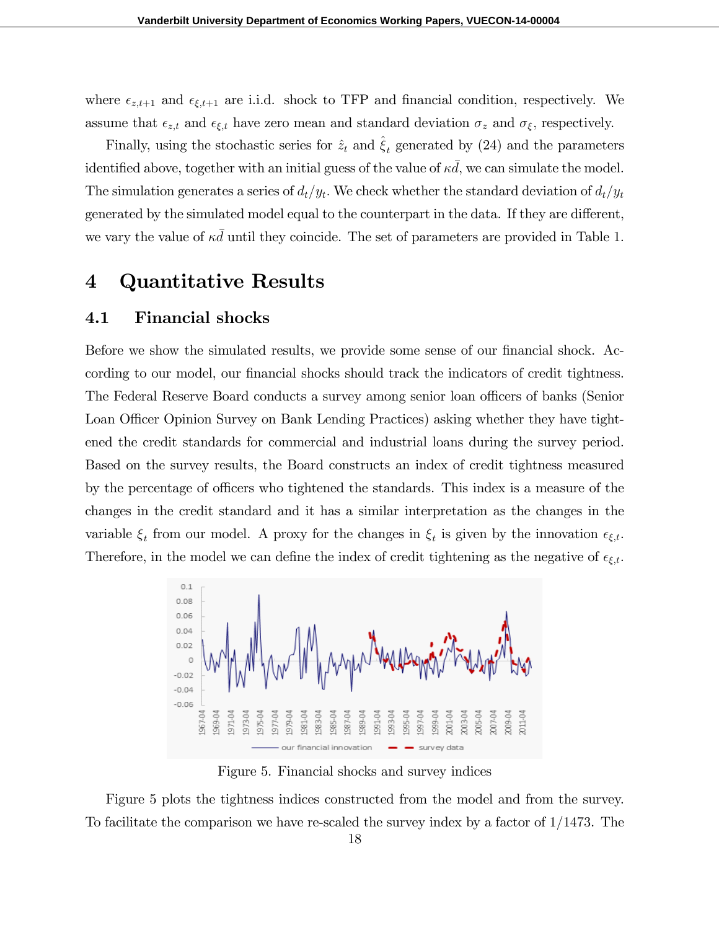where  $\epsilon_{z,t+1}$  and  $\epsilon_{\xi,t+1}$  are i.i.d. shock to TFP and financial condition, respectively. We assume that  $\epsilon_{z,t}$  and  $\epsilon_{\xi,t}$  have zero mean and standard deviation  $\sigma_z$  and  $\sigma_{\xi}$ , respectively.

Finally, using the stochastic series for  $\hat{z}_t$  and  $\hat{\xi}_t$  generated by (24) and the parameters identified above, together with an initial guess of the value of  $\kappa\bar{d}$ , we can simulate the model. The simulation generates a series of  $d_t/y_t$ . We check whether the standard deviation of  $d_t/y_t$ generated by the simulated model equal to the counterpart in the data. If they are different, we vary the value of  $\kappa d$  until they coincide. The set of parameters are provided in Table 1.

## 4 Quantitative Results

### 4.1 Financial shocks

Before we show the simulated results, we provide some sense of our financial shock. According to our model, our financial shocks should track the indicators of credit tightness. The Federal Reserve Board conducts a survey among senior loan officers of banks (Senior Loan Officer Opinion Survey on Bank Lending Practices) asking whether they have tightened the credit standards for commercial and industrial loans during the survey period. Based on the survey results, the Board constructs an index of credit tightness measured by the percentage of officers who tightened the standards. This index is a measure of the changes in the credit standard and it has a similar interpretation as the changes in the variable  $\xi_t$  from our model. A proxy for the changes in  $\xi_t$  is given by the innovation  $\epsilon_{\xi,t}$ . Therefore, in the model we can define the index of credit tightening as the negative of  $\epsilon_{\xi,t}$ .



Figure 5. Financial shocks and survey indices

Figure 5 plots the tightness indices constructed from the model and from the survey. To facilitate the comparison we have re-scaled the survey index by a factor of  $1/1473$ . The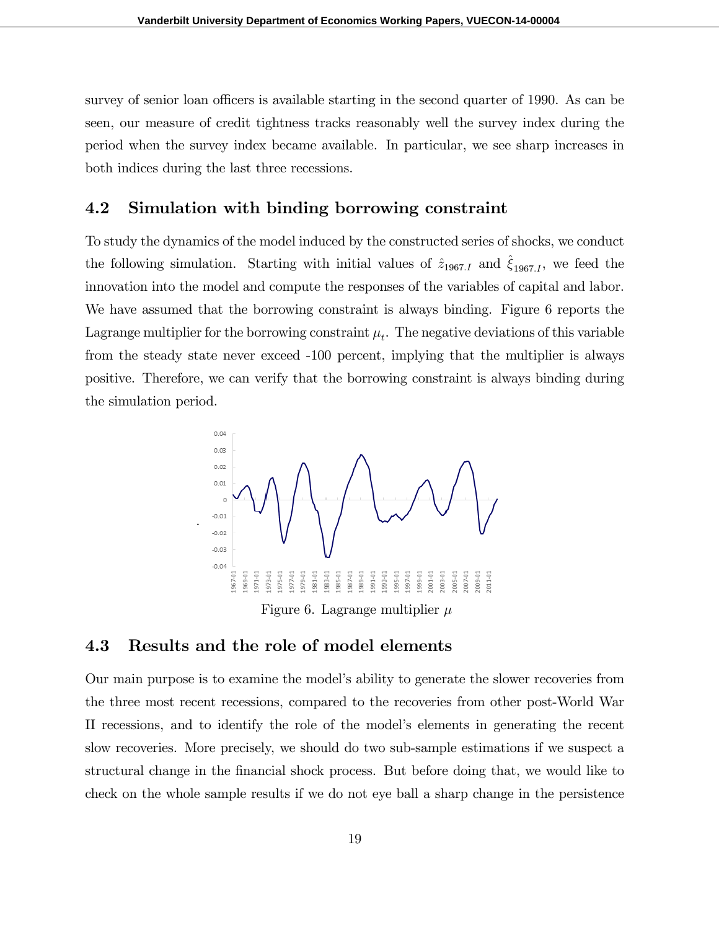survey of senior loan officers is available starting in the second quarter of 1990. As can be seen, our measure of credit tightness tracks reasonably well the survey index during the period when the survey index became available. In particular, we see sharp increases in both indices during the last three recessions.

## 4.2 Simulation with binding borrowing constraint

To study the dynamics of the model induced by the constructed series of shocks, we conduct the following simulation. Starting with initial values of  $\hat{z}_{1967,I}$  and  $\hat{\xi}_{1967,I}$ , we feed the innovation into the model and compute the responses of the variables of capital and labor. We have assumed that the borrowing constraint is always binding. Figure 6 reports the Lagrange multiplier for the borrowing constraint  $\mu_t$ . The negative deviations of this variable from the steady state never exceed -100 percent, implying that the multiplier is always positive. Therefore, we can verify that the borrowing constraint is always binding during the simulation period.



Figure 6. Lagrange multiplier  $\mu$ 

### 4.3 Results and the role of model elements

.

Our main purpose is to examine the modelís ability to generate the slower recoveries from the three most recent recessions, compared to the recoveries from other post-World War II recessions, and to identify the role of the modelís elements in generating the recent slow recoveries. More precisely, we should do two sub-sample estimations if we suspect a structural change in the financial shock process. But before doing that, we would like to check on the whole sample results if we do not eye ball a sharp change in the persistence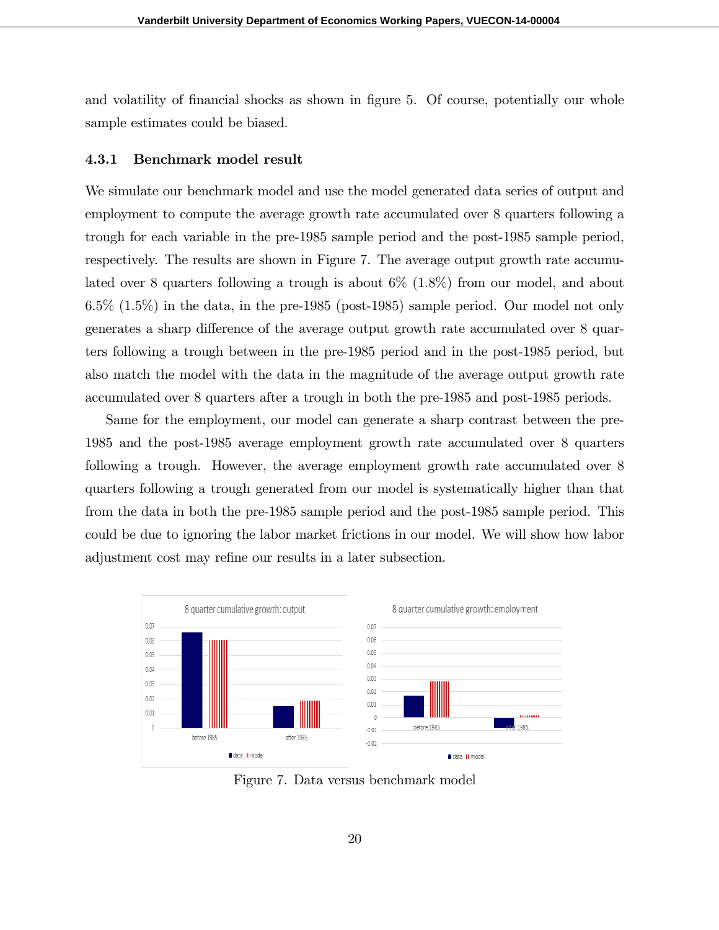and volatility of financial shocks as shown in figure 5. Of course, potentially our whole sample estimates could be biased.

#### 4.3.1 Benchmark model result

We simulate our benchmark model and use the model generated data series of output and employment to compute the average growth rate accumulated over 8 quarters following a trough for each variable in the pre-1985 sample period and the post-1985 sample period, respectively. The results are shown in Figure 7. The average output growth rate accumulated over 8 quarters following a trough is about 6% (1.8%) from our model, and about 6.5% (1.5%) in the data, in the pre-1985 (post-1985) sample period. Our model not only generates a sharp difference of the average output growth rate accumulated over 8 quarters following a trough between in the pre-1985 period and in the post-1985 period, but also match the model with the data in the magnitude of the average output growth rate accumulated over 8 quarters after a trough in both the pre-1985 and post-1985 periods.

Same for the employment, our model can generate a sharp contrast between the pre-1985 and the post-1985 average employment growth rate accumulated over 8 quarters following a trough. However, the average employment growth rate accumulated over 8 quarters following a trough generated from our model is systematically higher than that from the data in both the pre-1985 sample period and the post-1985 sample period. This could be due to ignoring the labor market frictions in our model. We will show how labor adjustment cost may refine our results in a later subsection.



Figure 7. Data versus benchmark model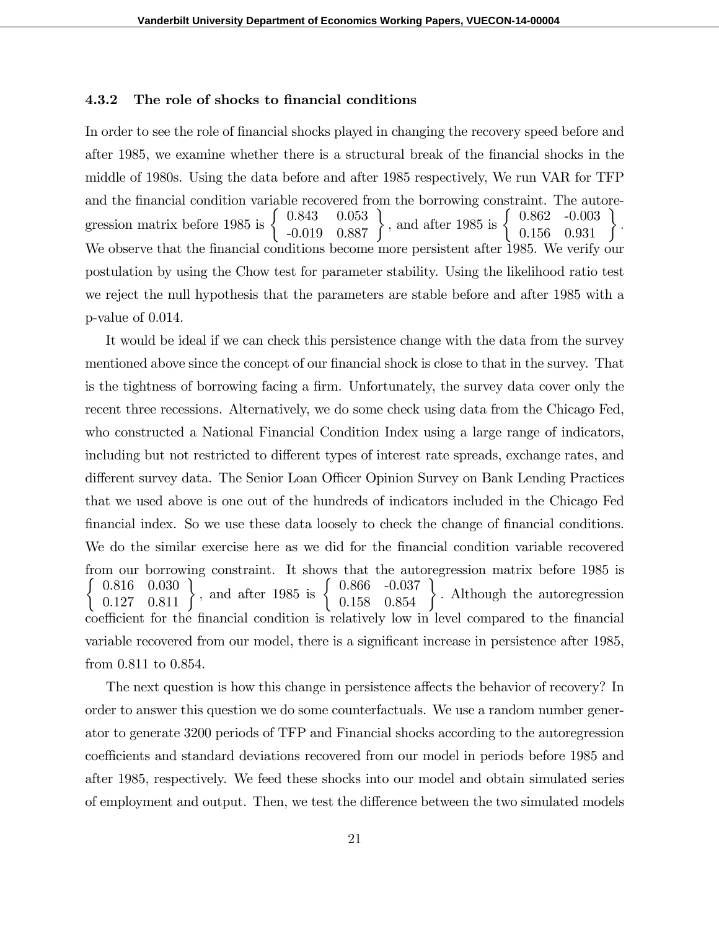#### 4.3.2 The role of shocks to financial conditions

In order to see the role of financial shocks played in changing the recovery speed before and after 1985, we examine whether there is a structural break of the financial shocks in the middle of 1980s. Using the data before and after 1985 respectively, We run VAR for TFP and the financial condition variable recovered from the borrowing constraint. The autoregression matrix before 1985 is  $\left\{\begin{array}{cc} 0.843 & 0.053 \\ -0.019 & 0.887 \end{array}\right\}$ , and after 1985 is  $\left\{\begin{array}{cc} 0.862 & -0.003 \\ 0.156 & 0.931 \end{array}\right\}$ : We observe that the financial conditions become more persistent after 1985. We verify our postulation by using the Chow test for parameter stability. Using the likelihood ratio test we reject the null hypothesis that the parameters are stable before and after 1985 with a p-value of 0.014.

It would be ideal if we can check this persistence change with the data from the survey mentioned above since the concept of our financial shock is close to that in the survey. That is the tightness of borrowing facing a firm. Unfortunately, the survey data cover only the recent three recessions. Alternatively, we do some check using data from the Chicago Fed, who constructed a National Financial Condition Index using a large range of indicators, including but not restricted to different types of interest rate spreads, exchange rates, and different survey data. The Senior Loan Officer Opinion Survey on Bank Lending Practices that we used above is one out of the hundreds of indicators included in the Chicago Fed financial index. So we use these data loosely to check the change of financial conditions. We do the similar exercise here as we did for the financial condition variable recovered from our borrowing constraint. It shows that the autoregression matrix before 1985 is  $\sqrt{ }$ 0.816 0.030 0.127 0.811 and after 1985 is  $\left\{\n\begin{array}{c}\n0.866 \\
0.158\n\end{array}\n\right\}$ . Although the autoregression coefficient for the financial condition is relatively low in level compared to the financial variable recovered from our model, there is a significant increase in persistence after 1985, from 0.811 to 0.854.

The next question is how this change in persistence affects the behavior of recovery? In order to answer this question we do some counterfactuals. We use a random number generator to generate 3200 periods of TFP and Financial shocks according to the autoregression coefficients and standard deviations recovered from our model in periods before 1985 and after 1985, respectively. We feed these shocks into our model and obtain simulated series of employment and output. Then, we test the difference between the two simulated models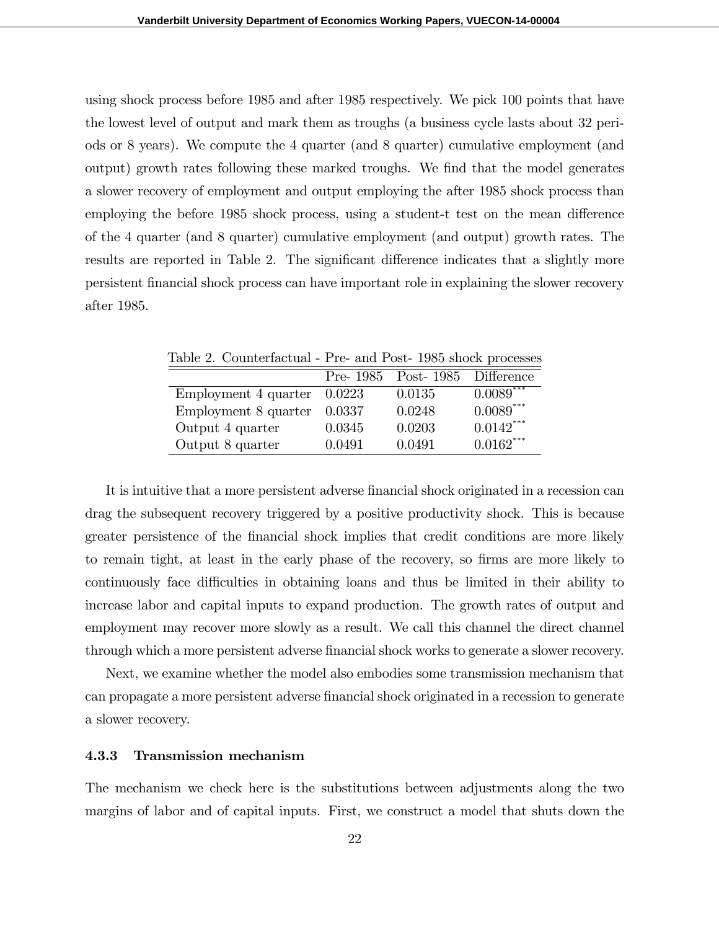using shock process before 1985 and after 1985 respectively. We pick 100 points that have the lowest level of output and mark them as troughs (a business cycle lasts about 32 periods or 8 years). We compute the 4 quarter (and 8 quarter) cumulative employment (and output) growth rates following these marked troughs. We Önd that the model generates a slower recovery of employment and output employing the after 1985 shock process than employing the before 1985 shock process, using a student-t test on the mean difference of the 4 quarter (and 8 quarter) cumulative employment (and output) growth rates. The results are reported in Table 2. The significant difference indicates that a slightly more persistent Önancial shock process can have important role in explaining the slower recovery after 1985.

| Table 2. Counterfactual - Pre- and Post-1985 shock processes |        |                          |                         |
|--------------------------------------------------------------|--------|--------------------------|-------------------------|
|                                                              |        | Pre- $1985$ Post- $1985$ | Difference              |
| Employment 4 quarter                                         | 0.0223 | 0.0135                   | $0.0089$ <sup>***</sup> |
| Employment 8 quarter                                         | 0.0337 | 0.0248                   | $0.0089***$             |
| Output 4 quarter                                             | 0.0345 | 0.0203                   | $0.0142***$             |
| Output 8 quarter                                             | 0.0491 | 0.0491                   | $0.0162***$             |

It is intuitive that a more persistent adverse financial shock originated in a recession can drag the subsequent recovery triggered by a positive productivity shock. This is because greater persistence of the financial shock implies that credit conditions are more likely to remain tight, at least in the early phase of the recovery, so firms are more likely to continuously face difficulties in obtaining loans and thus be limited in their ability to increase labor and capital inputs to expand production. The growth rates of output and employment may recover more slowly as a result. We call this channel the direct channel through which a more persistent adverse financial shock works to generate a slower recovery.

Next, we examine whether the model also embodies some transmission mechanism that can propagate a more persistent adverse Önancial shock originated in a recession to generate a slower recovery.

#### 4.3.3 Transmission mechanism

The mechanism we check here is the substitutions between adjustments along the two margins of labor and of capital inputs. First, we construct a model that shuts down the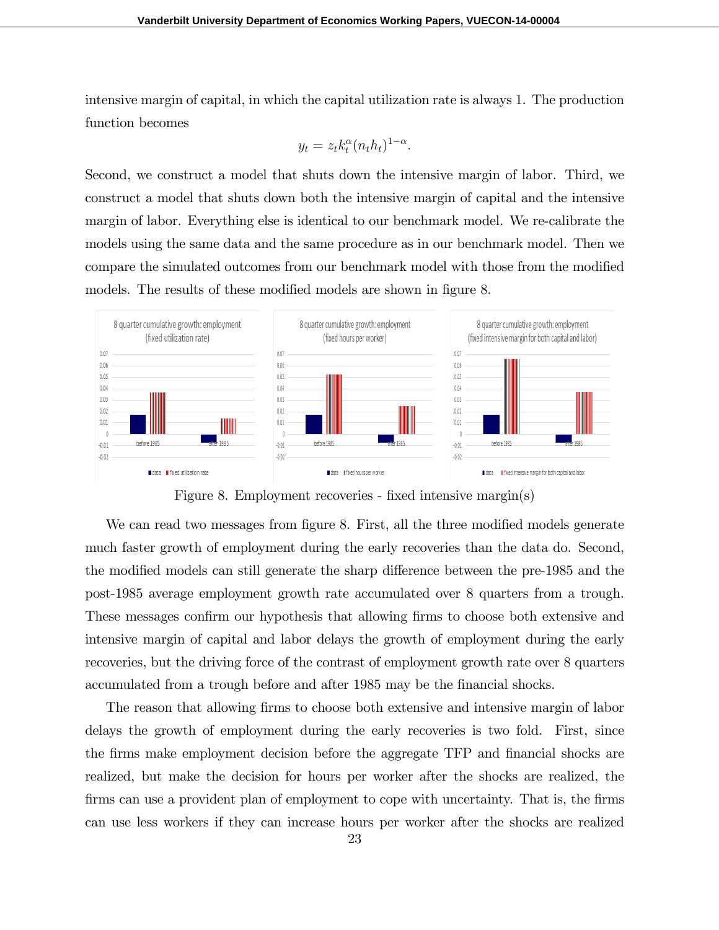intensive margin of capital, in which the capital utilization rate is always 1. The production function becomes

$$
y_t = z_t k_t^{\alpha} (n_t h_t)^{1-\alpha}.
$$

Second, we construct a model that shuts down the intensive margin of labor. Third, we construct a model that shuts down both the intensive margin of capital and the intensive margin of labor. Everything else is identical to our benchmark model. We re-calibrate the models using the same data and the same procedure as in our benchmark model. Then we compare the simulated outcomes from our benchmark model with those from the modified models. The results of these modified models are shown in figure 8.



Figure 8. Employment recoveries - fixed intensive margin(s)

We can read two messages from figure 8. First, all the three modified models generate much faster growth of employment during the early recoveries than the data do. Second, the modified models can still generate the sharp difference between the pre-1985 and the post-1985 average employment growth rate accumulated over 8 quarters from a trough. These messages confirm our hypothesis that allowing firms to choose both extensive and intensive margin of capital and labor delays the growth of employment during the early recoveries, but the driving force of the contrast of employment growth rate over 8 quarters accumulated from a trough before and after 1985 may be the financial shocks.

The reason that allowing firms to choose both extensive and intensive margin of labor delays the growth of employment during the early recoveries is two fold. First, since the firms make employment decision before the aggregate TFP and financial shocks are realized, but make the decision for hours per worker after the shocks are realized, the firms can use a provident plan of employment to cope with uncertainty. That is, the firms can use less workers if they can increase hours per worker after the shocks are realized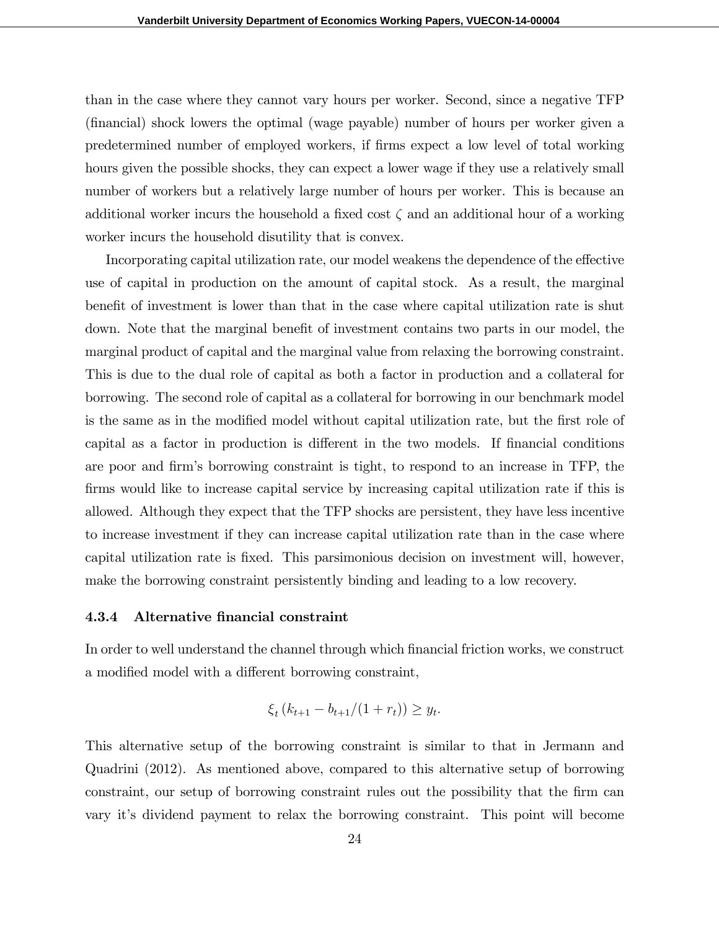than in the case where they cannot vary hours per worker. Second, since a negative TFP (Önancial) shock lowers the optimal (wage payable) number of hours per worker given a predetermined number of employed workers, if Örms expect a low level of total working hours given the possible shocks, they can expect a lower wage if they use a relatively small number of workers but a relatively large number of hours per worker. This is because an additional worker incurs the household a fixed cost  $\zeta$  and an additional hour of a working worker incurs the household disutility that is convex.

Incorporating capital utilization rate, our model weakens the dependence of the effective use of capital in production on the amount of capital stock. As a result, the marginal benefit of investment is lower than that in the case where capital utilization rate is shut down. Note that the marginal benefit of investment contains two parts in our model, the marginal product of capital and the marginal value from relaxing the borrowing constraint. This is due to the dual role of capital as both a factor in production and a collateral for borrowing. The second role of capital as a collateral for borrowing in our benchmark model is the same as in the modified model without capital utilization rate, but the first role of capital as a factor in production is different in the two models. If financial conditions are poor and firm's borrowing constraint is tight, to respond to an increase in TFP, the firms would like to increase capital service by increasing capital utilization rate if this is allowed. Although they expect that the TFP shocks are persistent, they have less incentive to increase investment if they can increase capital utilization rate than in the case where capital utilization rate is Öxed. This parsimonious decision on investment will, however, make the borrowing constraint persistently binding and leading to a low recovery.

#### 4.3.4 Alternative financial constraint

In order to well understand the channel through which financial friction works, we construct a modified model with a different borrowing constraint,

$$
\xi_t (k_{t+1} - b_{t+1}/(1+r_t)) \ge y_t.
$$

This alternative setup of the borrowing constraint is similar to that in Jermann and Quadrini (2012). As mentioned above, compared to this alternative setup of borrowing constraint, our setup of borrowing constraint rules out the possibility that the firm can vary itís dividend payment to relax the borrowing constraint. This point will become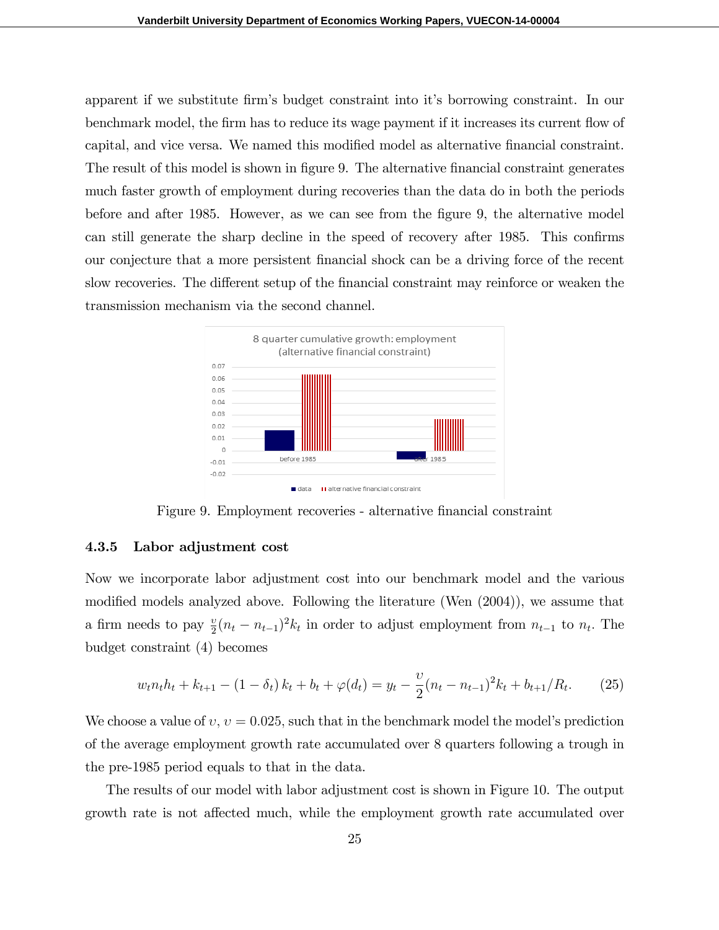apparent if we substitute firm's budget constraint into it's borrowing constraint. In our benchmark model, the firm has to reduce its wage payment if it increases its current flow of capital, and vice versa. We named this modified model as alternative financial constraint. The result of this model is shown in figure 9. The alternative financial constraint generates much faster growth of employment during recoveries than the data do in both the periods before and after 1985. However, as we can see from the figure 9, the alternative model can still generate the sharp decline in the speed of recovery after 1985. This confirms our conjecture that a more persistent Önancial shock can be a driving force of the recent slow recoveries. The different setup of the financial constraint may reinforce or weaken the transmission mechanism via the second channel.



Figure 9. Employment recoveries - alternative financial constraint

#### 4.3.5 Labor adjustment cost

Now we incorporate labor adjustment cost into our benchmark model and the various modified models analyzed above. Following the literature (Wen  $(2004)$ ), we assume that a firm needs to pay  $\frac{v}{2}(n_t - n_{t-1})^2 k_t$  in order to adjust employment from  $n_{t-1}$  to  $n_t$ . The budget constraint (4) becomes

$$
w_t n_t h_t + k_{t+1} - (1 - \delta_t) k_t + b_t + \varphi(d_t) = y_t - \frac{\upsilon}{2} (n_t - n_{t-1})^2 k_t + b_{t+1}/R_t.
$$
 (25)

We choose a value of  $v, v = 0.025$ , such that in the benchmark model the model's prediction of the average employment growth rate accumulated over 8 quarters following a trough in the pre-1985 period equals to that in the data.

The results of our model with labor adjustment cost is shown in Figure 10. The output growth rate is not affected much, while the employment growth rate accumulated over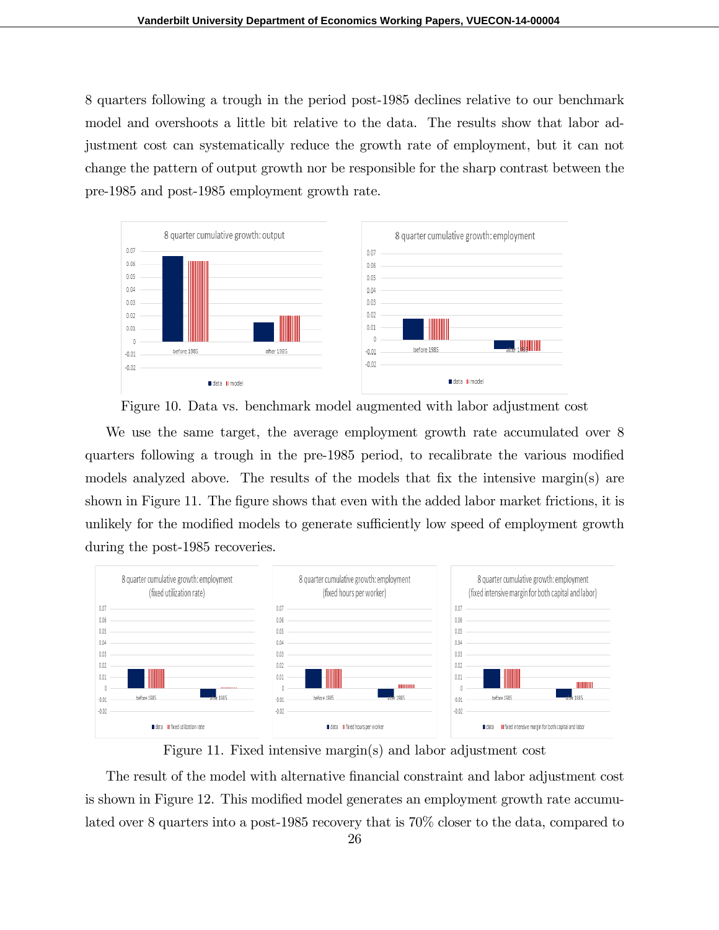8 quarters following a trough in the period post-1985 declines relative to our benchmark model and overshoots a little bit relative to the data. The results show that labor adjustment cost can systematically reduce the growth rate of employment, but it can not change the pattern of output growth nor be responsible for the sharp contrast between the pre-1985 and post-1985 employment growth rate.





We use the same target, the average employment growth rate accumulated over 8 quarters following a trough in the pre-1985 period, to recalibrate the various modified models analyzed above. The results of the models that fix the intensive margin(s) are shown in Figure 11. The figure shows that even with the added labor market frictions, it is unlikely for the modified models to generate sufficiently low speed of employment growth during the post-1985 recoveries.



Figure 11. Fixed intensive margin(s) and labor adjustment cost

The result of the model with alternative financial constraint and labor adjustment cost is shown in Figure 12. This modified model generates an employment growth rate accumulated over 8 quarters into a post-1985 recovery that is 70% closer to the data, compared to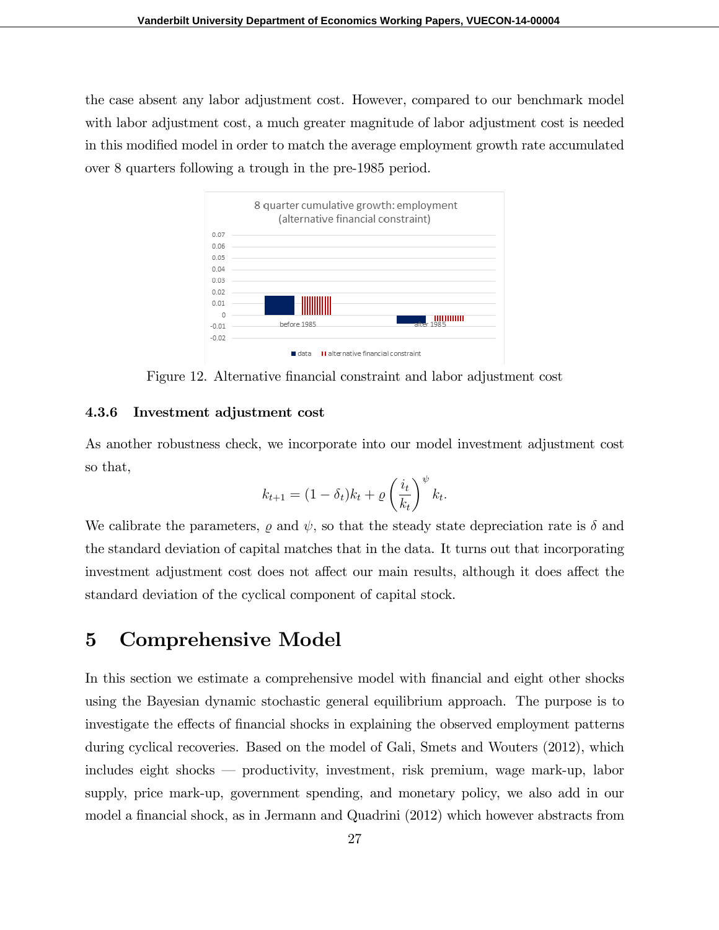the case absent any labor adjustment cost. However, compared to our benchmark model with labor adjustment cost, a much greater magnitude of labor adjustment cost is needed in this modified model in order to match the average employment growth rate accumulated over 8 quarters following a trough in the pre-1985 period.



Figure 12. Alternative financial constraint and labor adjustment cost

#### 4.3.6 Investment adjustment cost

As another robustness check, we incorporate into our model investment adjustment cost so that,

$$
k_{t+1} = (1 - \delta_t)k_t + \varrho \left(\frac{i_t}{k_t}\right)^{\psi} k_t.
$$

We calibrate the parameters,  $\rho$  and  $\psi$ , so that the steady state depreciation rate is  $\delta$  and the standard deviation of capital matches that in the data. It turns out that incorporating investment adjustment cost does not affect our main results, although it does affect the standard deviation of the cyclical component of capital stock.

## 5 Comprehensive Model

In this section we estimate a comprehensive model with financial and eight other shocks using the Bayesian dynamic stochastic general equilibrium approach. The purpose is to investigate the effects of financial shocks in explaining the observed employment patterns during cyclical recoveries. Based on the model of Gali, Smets and Wouters (2012), which includes eight shocks  $\sim$  productivity, investment, risk premium, wage mark-up, labor supply, price mark-up, government spending, and monetary policy, we also add in our model a financial shock, as in Jermann and Quadrini (2012) which however abstracts from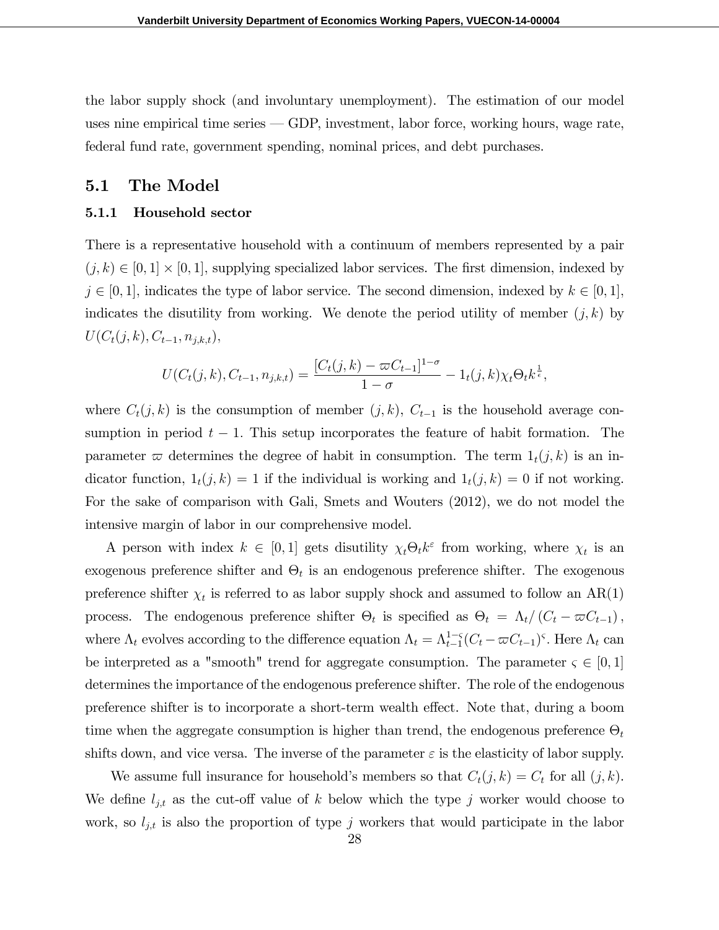the labor supply shock (and involuntary unemployment). The estimation of our model uses nine empirical time series  $\sim$  GDP, investment, labor force, working hours, wage rate, federal fund rate, government spending, nominal prices, and debt purchases.

## 5.1 The Model

#### 5.1.1 Household sector

There is a representative household with a continuum of members represented by a pair  $(j, k) \in [0, 1] \times [0, 1]$ , supplying specialized labor services. The first dimension, indexed by  $j \in [0, 1]$ , indicates the type of labor service. The second dimension, indexed by  $k \in [0, 1]$ , indicates the disutility from working. We denote the period utility of member  $(j, k)$  by  $U(C_t(j,k), C_{t-1}, n_{j,k,t}),$ 

$$
U(C_t(j,k), C_{t-1}, n_{j,k,t}) = \frac{[C_t(j,k) - \varpi C_{t-1}]^{1-\sigma}}{1-\sigma} - 1_t(j,k)\chi_t \Theta_t k^{\frac{1}{\epsilon}},
$$

where  $C_t(j,k)$  is the consumption of member  $(j,k)$ ,  $C_{t-1}$  is the household average consumption in period  $t - 1$ . This setup incorporates the feature of habit formation. The parameter  $\varpi$  determines the degree of habit in consumption. The term  $1_t(j, k)$  is an indicator function,  $1_t(j,k) = 1$  if the individual is working and  $1_t(j,k) = 0$  if not working. For the sake of comparison with Gali, Smets and Wouters (2012), we do not model the intensive margin of labor in our comprehensive model.

A person with index  $k \in [0,1]$  gets disutility  $\chi_t \Theta_t k^{\varepsilon}$  from working, where  $\chi_t$  is an exogenous preference shifter and  $\Theta_t$  is an endogenous preference shifter. The exogenous preference shifter  $\chi_t$  is referred to as labor supply shock and assumed to follow an AR(1) process. The endogenous preference shifter  $\Theta_t$  is specified as  $\Theta_t = \Lambda_t / (C_t - \varpi C_{t-1}),$ where  $\Lambda_t$  evolves according to the difference equation  $\Lambda_t = \Lambda_{t-1}^{1-\varsigma} (C_t - \varpi C_{t-1})^{\varsigma}$ . Here  $\Lambda_t$  can be interpreted as a "smooth" trend for aggregate consumption. The parameter  $\varsigma \in [0, 1]$ determines the importance of the endogenous preference shifter. The role of the endogenous preference shifter is to incorporate a short-term wealth effect. Note that, during a boom time when the aggregate consumption is higher than trend, the endogenous preference  $\Theta_t$ shifts down, and vice versa. The inverse of the parameter  $\varepsilon$  is the elasticity of labor supply.

We assume full insurance for household's members so that  $C_t(j,k) = C_t$  for all  $(j, k)$ . We define  $l_{j,t}$  as the cut-off value of k below which the type j worker would choose to work, so  $l_{j,t}$  is also the proportion of type j workers that would participate in the labor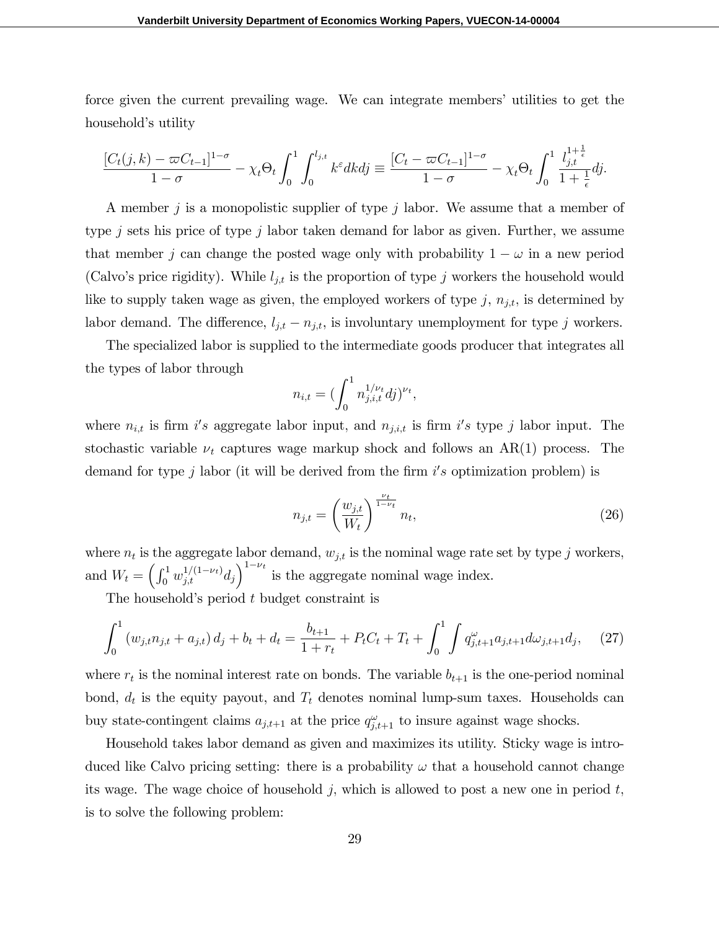force given the current prevailing wage. We can integrate members' utilities to get the household's utility

$$
\frac{[C_t(j,k)-\varpi C_{t-1}]^{1-\sigma}}{1-\sigma}-\chi_t\Theta_t\int_0^1\int_0^{l_{j,t}}k^{\varepsilon}dkd\tilde{y}\equiv\frac{[C_t-\varpi C_{t-1}]^{1-\sigma}}{1-\sigma}-\chi_t\Theta_t\int_0^1\frac{l_{j,t}^{1+\frac{1}{\varepsilon}}}{1+\frac{1}{\varepsilon}}d\tilde{y}.
$$

A member j is a monopolistic supplier of type j labor. We assume that a member of type j sets his price of type j labor taken demand for labor as given. Further, we assume that member j can change the posted wage only with probability  $1 - \omega$  in a new period (Calvo's price rigidity). While  $l_{j,t}$  is the proportion of type j workers the household would like to supply taken wage as given, the employed workers of type  $j$ ,  $n_{j,t}$ , is determined by labor demand. The difference,  $l_{j,t} - n_{j,t}$ , is involuntary unemployment for type j workers.

The specialized labor is supplied to the intermediate goods producer that integrates all the types of labor through

$$
n_{i,t} = \left(\int_0^1 n_{j,i,t}^{1/\nu_t} dj\right)^{\nu_t},
$$

where  $n_{i,t}$  is firm i's aggregate labor input, and  $n_{j,i,t}$  is firm i's type j labor input. The stochastic variable  $\nu_t$  captures wage markup shock and follows an AR(1) process. The demand for type  $j$  labor (it will be derived from the firm  $i's$  optimization problem) is

$$
n_{j,t} = \left(\frac{w_{j,t}}{W_t}\right)^{\frac{\nu_t}{1-\nu_t}} n_t,
$$
\n(26)

where  $n_t$  is the aggregate labor demand,  $w_{j,t}$  is the nominal wage rate set by type j workers, and  $W_t = \left(\int_0^1 w_{j,t}^{1/(1-\nu_t)} d_j\right)^{1-\nu_t}$  is the aggregate nominal wage index.

The household's period  $t$  budget constraint is

$$
\int_0^1 \left( w_{j,t} n_{j,t} + a_{j,t} \right) d_j + b_t + d_t = \frac{b_{t+1}}{1+r_t} + P_t C_t + T_t + \int_0^1 \int q_{j,t+1}^\omega a_{j,t+1} d\omega_{j,t+1} d_j, \tag{27}
$$

where  $r_t$  is the nominal interest rate on bonds. The variable  $b_{t+1}$  is the one-period nominal bond,  $d_t$  is the equity payout, and  $T_t$  denotes nominal lump-sum taxes. Households can buy state-contingent claims  $a_{j,t+1}$  at the price  $q_{j,t+1}^{\omega}$  to insure against wage shocks.

Household takes labor demand as given and maximizes its utility. Sticky wage is introduced like Calvo pricing setting: there is a probability  $\omega$  that a household cannot change its wage. The wage choice of household j, which is allowed to post a new one in period  $t$ , is to solve the following problem: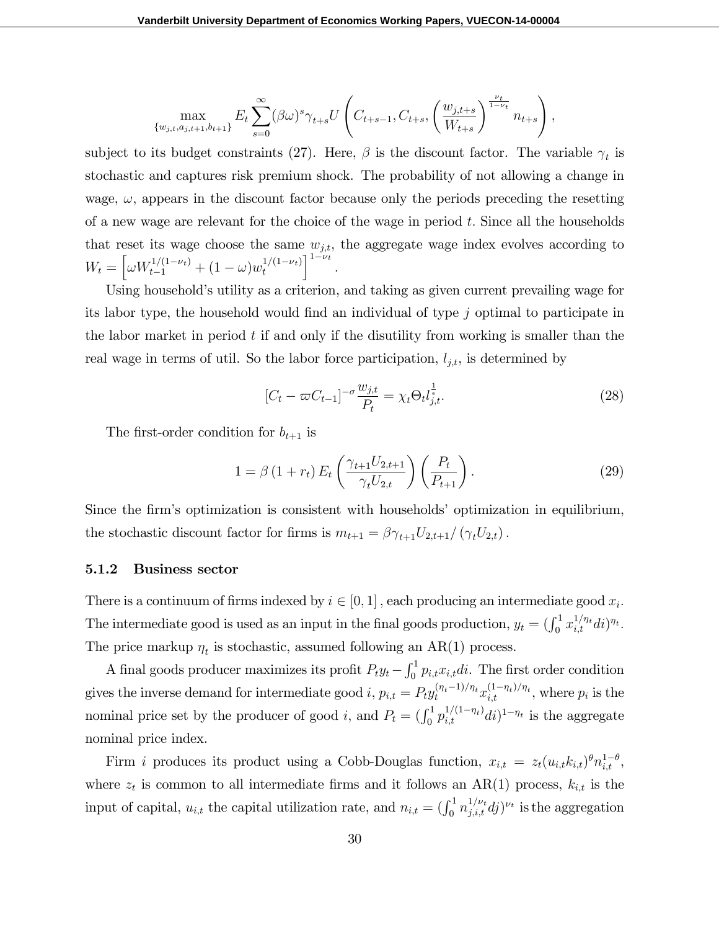$$
\max_{\{w_{j,t}, a_{j,t+1}, b_{t+1}\}} E_t \sum_{s=0}^{\infty} (\beta \omega)^s \gamma_{t+s} U \left( C_{t+s-1}, C_{t+s}, \left( \frac{w_{j,t+s}}{W_{t+s}} \right)^{\frac{\nu_t}{1-\nu_t}} n_{t+s} \right),
$$

subject to its budget constraints (27). Here,  $\beta$  is the discount factor. The variable  $\gamma_t$  is stochastic and captures risk premium shock. The probability of not allowing a change in wage,  $\omega$ , appears in the discount factor because only the periods preceding the resetting of a new wage are relevant for the choice of the wage in period  $t$ . Since all the households that reset its wage choose the same  $w_{j,t}$ , the aggregate wage index evolves according to  $W_t = \left[\omega W_{t-1}^{1/(1-\nu_t)} + (1-\omega)w_t^{1/(1-\nu_t)}\right]$  $1-\nu_t$ :

Using household's utility as a criterion, and taking as given current prevailing wage for its labor type, the household would find an individual of type  $j$  optimal to participate in the labor market in period  $t$  if and only if the disutility from working is smaller than the real wage in terms of util. So the labor force participation,  $l_{j,t}$ , is determined by

$$
[C_t - \varpi C_{t-1}]^{-\sigma} \frac{w_{j,t}}{P_t} = \chi_t \Theta_t l_{j,t}^{\frac{1}{\epsilon}}.
$$
\n(28)

The first-order condition for  $b_{t+1}$  is

$$
1 = \beta (1 + r_t) E_t \left( \frac{\gamma_{t+1} U_{2,t+1}}{\gamma_t U_{2,t}} \right) \left( \frac{P_t}{P_{t+1}} \right).
$$
 (29)

Since the firm's optimization is consistent with households' optimization in equilibrium, the stochastic discount factor for firms is  $m_{t+1} = \beta \gamma_{t+1} U_{2,t+1}/(\gamma_t U_{2,t})$ .

#### 5.1.2 Business sector

There is a continuum of firms indexed by  $i \in [0, 1]$ , each producing an intermediate good  $x_i$ . The intermediate good is used as an input in the final goods production,  $y_t = \left(\int_0^1 x_{i,t}^{1/\eta_t} dt\right)^{\eta_t}$ . The price markup  $\eta_t$  is stochastic, assumed following an AR(1) process.

A final goods producer maximizes its profit  $P_t y_t - \int_0^1 p_{i,t} x_{i,t} dt$ . The first order condition gives the inverse demand for intermediate good  $i, p_{i,t} = P_t y_t^{(\eta_t - 1)/\eta_t} x_{i,t}^{(1 - \eta_t)/\eta_t}$ , where  $p_i$  is the nominal price set by the producer of good *i*, and  $P_t = (\int_0^1 p_{i,t}^{1/(1-\eta_t)} dt)^{1-\eta_t}$  is the aggregate nominal price index.

Firm *i* produces its product using a Cobb-Douglas function,  $x_{i,t} = z_t(u_{i,t}k_{i,t})\theta n_{i,t}^{1-\theta}$ , where  $z_t$  is common to all intermediate firms and it follows an AR(1) process,  $k_{i,t}$  is the input of capital,  $u_{i,t}$  the capital utilization rate, and  $n_{i,t} = (\int_0^1 n_{j,i,t}^{1/\nu_t} dj)^{\nu_t}$  is the aggregation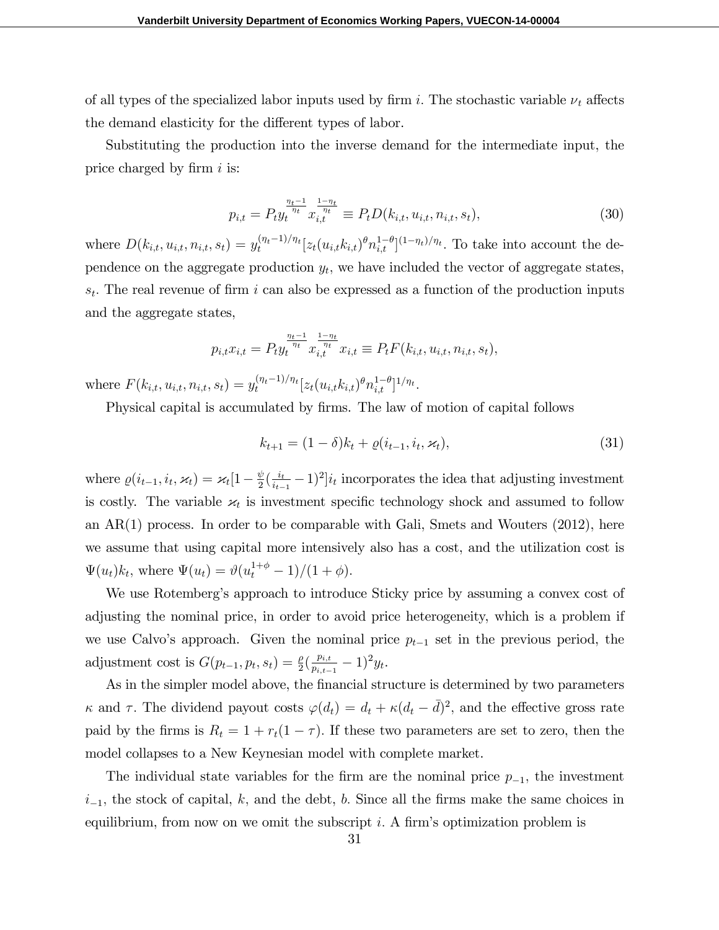of all types of the specialized labor inputs used by firm i. The stochastic variable  $\nu_t$  affects the demand elasticity for the different types of labor.

Substituting the production into the inverse demand for the intermediate input, the price charged by firm  $i$  is:

$$
p_{i,t} = P_t y_t^{\frac{\eta_t - 1}{\eta_t}} x_{i,t}^{\frac{1 - \eta_t}{\eta_t}} \equiv P_t D(k_{i,t}, u_{i,t}, n_{i,t}, s_t), \tag{30}
$$

where  $D(k_{i,t}, u_{i,t}, n_{i,t}, s_t) = y_t^{(\eta_t - 1)/\eta_t} [z_t(u_{i,t}k_{i,t})^{\theta} n_{i,t}^{1-\theta}]^{(1-\eta_t)/\eta_t}$ . To take into account the dependence on the aggregate production  $y_t$ , we have included the vector of aggregate states,  $s_t$ . The real revenue of firm i can also be expressed as a function of the production inputs and the aggregate states,

$$
p_{i,t}x_{i,t} = P_t y_t^{\frac{\eta_t - 1}{\eta_t}} x_{i,t}^{\frac{1 - \eta_t}{\eta_t}} x_{i,t} \equiv P_t F(k_{i,t}, u_{i,t}, n_{i,t}, s_t),
$$

where  $F(k_{i,t}, u_{i,t}, n_{i,t}, s_t) = y_t^{(\eta_t - 1)/\eta_t} [z_t(u_{i,t}k_{i,t})^{\theta} n_{i,t}^{1-\theta}]^{1/\eta_t}$ .

Physical capital is accumulated by firms. The law of motion of capital follows

$$
k_{t+1} = (1 - \delta)k_t + \varrho(i_{t-1}, i_t, \varkappa_t), \tag{31}
$$

where  $\varrho(i_{t-1}, i_t, \varkappa_t) = \varkappa_t [1 - \frac{\psi}{2}]$  $\frac{\psi}{2}(\frac{i_{t}}{i_{t-}}% )\cdot \frac{\psi}{2}(\frac{i_{t-}}{i_{t-}}% )\cdot \frac{\psi}{2}(\frac{i_{t-}}{i_{t-}}% )$  $\frac{i_t}{i_{t-1}}-1)^2|i_t|$  incorporates the idea that adjusting investment is costly. The variable  $\varkappa_t$  is investment specific technology shock and assumed to follow an AR(1) process. In order to be comparable with Gali, Smets and Wouters (2012), here we assume that using capital more intensively also has a cost, and the utilization cost is  $\Psi(u_t)k_t$ , where  $\Psi(u_t) = \vartheta(u_t^{1+\phi} - 1)/(1 + \phi)$ .

We use Rotemberg's approach to introduce Sticky price by assuming a convex cost of adjusting the nominal price, in order to avoid price heterogeneity, which is a problem if we use Calvo's approach. Given the nominal price  $p_{t-1}$  set in the previous period, the adjustment cost is  $G(p_{t-1}, p_t, s_t) = \frac{\rho}{2} \left( \frac{p_{i,t}}{p_{i,t-1}} \right)$  $\frac{p_{i,t}}{p_{i,t-1}} - 1)^2 y_t.$ 

As in the simpler model above, the financial structure is determined by two parameters  $\kappa$  and  $\tau$ . The dividend payout costs  $\varphi(d_t) = d_t + \kappa(d_t - \bar{d})^2$ , and the effective gross rate paid by the firms is  $R_t = 1 + r_t(1 - \tau)$ . If these two parameters are set to zero, then the model collapses to a New Keynesian model with complete market.

The individual state variables for the firm are the nominal price  $p_{-1}$ , the investment  $i_{-1}$ , the stock of capital, k, and the debt, b. Since all the firms make the same choices in equilibrium, from now on we omit the subscript i. A firm's optimization problem is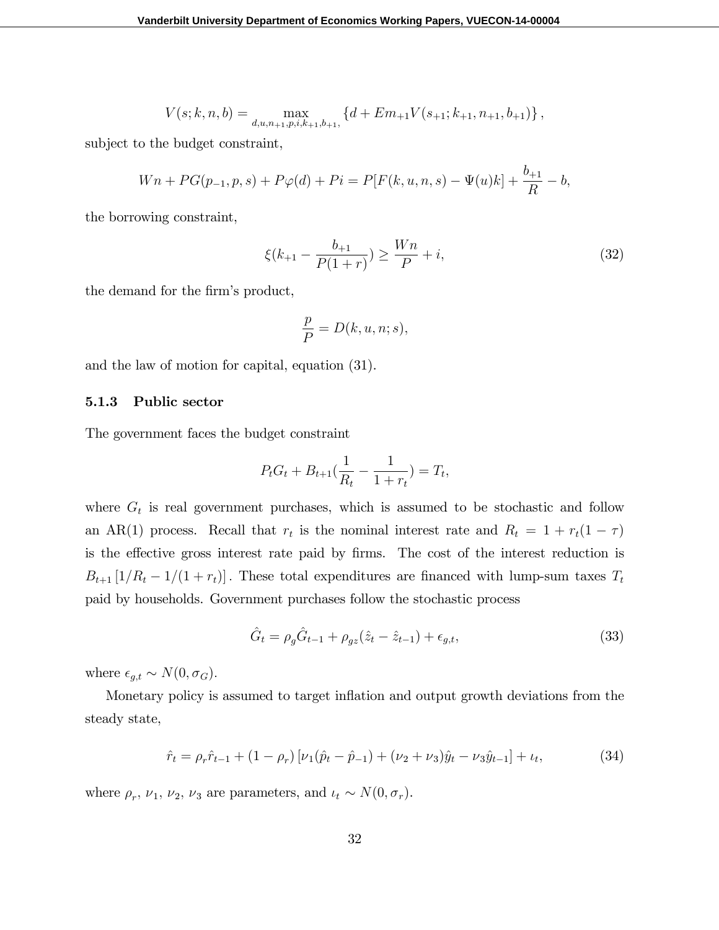$$
V(s;k,n,b) = \max_{d,u,n_{+1},p,i,k_{+1},b_{+1}} \left\{ d + Em_{+1} V(s_{+1};k_{+1},n_{+1},b_{+1}) \right\},\,
$$

subject to the budget constraint,

$$
Wn + PG(p_{-1}, p, s) + P\varphi(d) + Pi = P[F(k, u, n, s) - \Psi(u)k] + \frac{b_{+1}}{R} - b,
$$

the borrowing constraint,

$$
\xi(k_{+1} - \frac{b_{+1}}{P(1+r)}) \ge \frac{Wn}{P} + i,\tag{32}
$$

the demand for the firm's product,

$$
\frac{p}{P} = D(k, u, n; s),
$$

and the law of motion for capital, equation (31).

#### 5.1.3 Public sector

The government faces the budget constraint

$$
P_t G_t + B_{t+1} \left( \frac{1}{R_t} - \frac{1}{1+r_t} \right) = T_t,
$$

where  $G_t$  is real government purchases, which is assumed to be stochastic and follow an AR(1) process. Recall that  $r_t$  is the nominal interest rate and  $R_t = 1 + r_t(1 - \tau)$ is the effective gross interest rate paid by firms. The cost of the interest reduction is  $B_{t+1}\left[1/R_t - 1/(1 + r_t)\right]$ . These total expenditures are financed with lump-sum taxes  $T_t$ paid by households. Government purchases follow the stochastic process

$$
\hat{G}_t = \rho_g \hat{G}_{t-1} + \rho_{gz} (\hat{z}_t - \hat{z}_{t-1}) + \epsilon_{g,t},
$$
\n(33)

where  $\epsilon_{g,t} \sim N(0, \sigma_G)$ .

Monetary policy is assumed to target ináation and output growth deviations from the steady state,

$$
\hat{r}_t = \rho_r \hat{r}_{t-1} + (1 - \rho_r) \left[ \nu_1 (\hat{p}_t - \hat{p}_{-1}) + (\nu_2 + \nu_3) \hat{y}_t - \nu_3 \hat{y}_{t-1} \right] + \iota_t,\tag{34}
$$

where  $\rho_r$ ,  $\nu_1$ ,  $\nu_2$ ,  $\nu_3$  are parameters, and  $\iota_t \sim N(0, \sigma_r)$ .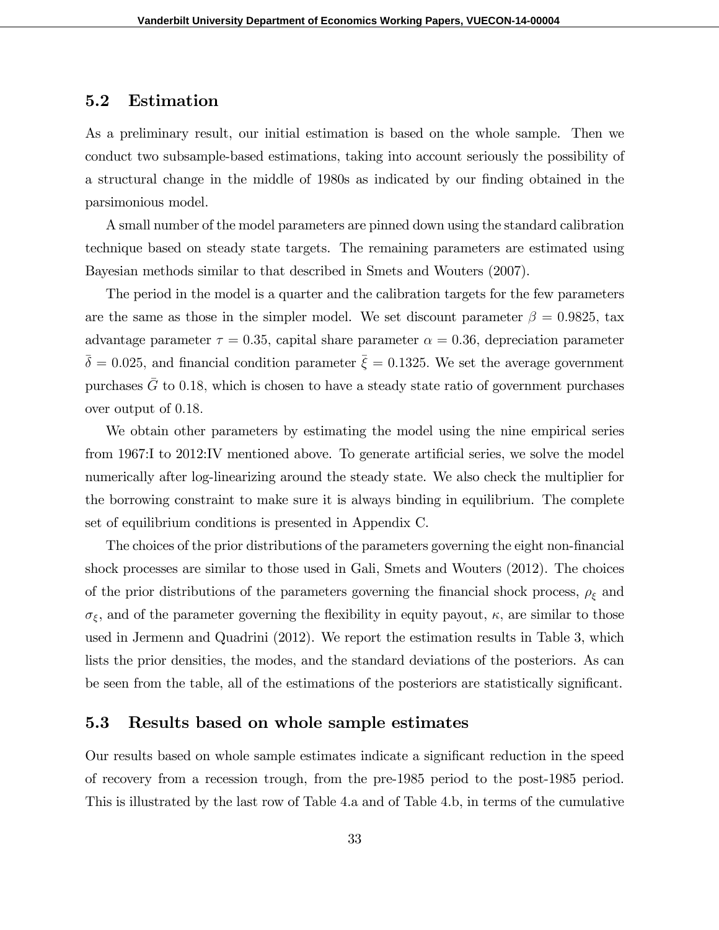### 5.2 Estimation

As a preliminary result, our initial estimation is based on the whole sample. Then we conduct two subsample-based estimations, taking into account seriously the possibility of a structural change in the middle of 1980s as indicated by our finding obtained in the parsimonious model.

A small number of the model parameters are pinned down using the standard calibration technique based on steady state targets. The remaining parameters are estimated using Bayesian methods similar to that described in Smets and Wouters (2007).

The period in the model is a quarter and the calibration targets for the few parameters are the same as those in the simpler model. We set discount parameter  $\beta = 0.9825$ , tax advantage parameter  $\tau = 0.35$ , capital share parameter  $\alpha = 0.36$ , depreciation parameter  $\bar{\delta} = 0.025$ , and financial condition parameter  $\bar{\xi} = 0.1325$ . We set the average government purchases  $G$  to 0.18, which is chosen to have a steady state ratio of government purchases over output of 0:18:

We obtain other parameters by estimating the model using the nine empirical series from 1967:I to 2012:IV mentioned above. To generate artificial series, we solve the model numerically after log-linearizing around the steady state. We also check the multiplier for the borrowing constraint to make sure it is always binding in equilibrium. The complete set of equilibrium conditions is presented in Appendix C.

The choices of the prior distributions of the parameters governing the eight non-financial shock processes are similar to those used in Gali, Smets and Wouters (2012). The choices of the prior distributions of the parameters governing the financial shock process,  $\rho_{\xi}$  and  $\sigma_{\xi}$ , and of the parameter governing the flexibility in equity payout,  $\kappa$ , are similar to those used in Jermenn and Quadrini (2012). We report the estimation results in Table 3, which lists the prior densities, the modes, and the standard deviations of the posteriors. As can be seen from the table, all of the estimations of the posteriors are statistically significant.

### 5.3 Results based on whole sample estimates

Our results based on whole sample estimates indicate a significant reduction in the speed of recovery from a recession trough, from the pre-1985 period to the post-1985 period. This is illustrated by the last row of Table 4.a and of Table 4.b, in terms of the cumulative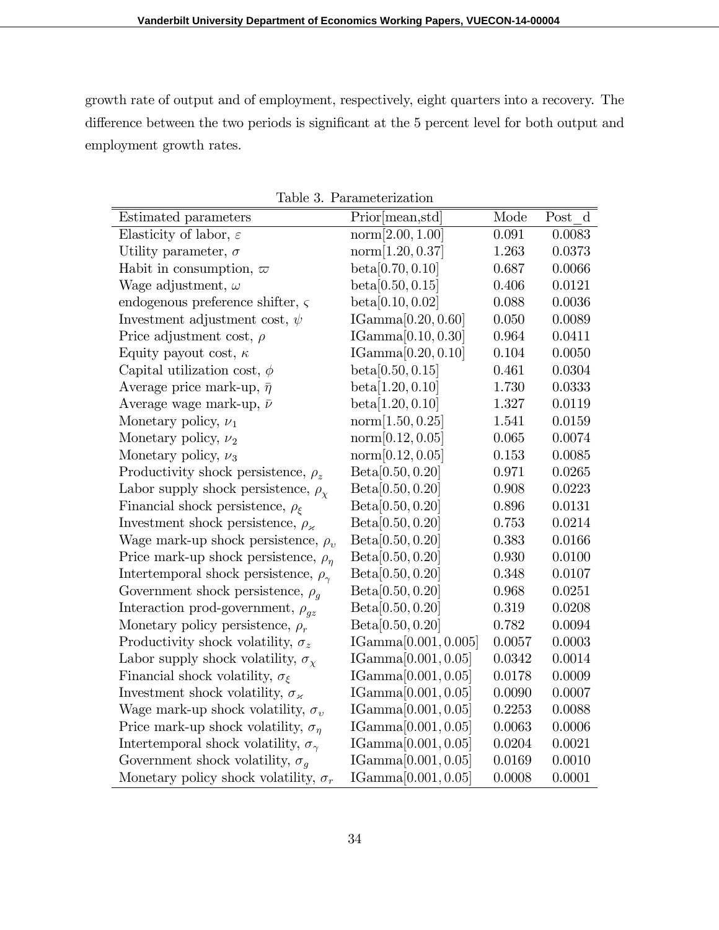growth rate of output and of employment, respectively, eight quarters into a recovery. The difference between the two periods is significant at the 5 percent level for both output and employment growth rates.

| Estimated parameters                              | Prior [mean, std]      | Mode   | Post d |
|---------------------------------------------------|------------------------|--------|--------|
| Elasticity of labor, $\varepsilon$                | norm[2.00, 1.00]       | 0.091  | 0.0083 |
| Utility parameter, $\sigma$                       | norm[1.20, 0.37]       | 1.263  | 0.0373 |
| Habit in consumption, $\varpi$                    | beta[0.70, 0.10]       | 0.687  | 0.0066 |
| Wage adjustment, $\omega$                         | beta[0.50, 0.15]       | 0.406  | 0.0121 |
| endogenous preference shifter, $\varsigma$        | beta[0.10, 0.02]       | 0.088  | 0.0036 |
| Investment adjustment cost, $\psi$                | IGamma[0.20, 0.60]     | 0.050  | 0.0089 |
| Price adjustment cost, $\rho$                     | IGamma[0.10, 0.30]     | 0.964  | 0.0411 |
| Equity payout cost, $\kappa$                      | IGamma[0.20, 0.10]     | 0.104  | 0.0050 |
| Capital utilization cost, $\phi$                  | beta[0.50, 0.15]       | 0.461  | 0.0304 |
| Average price mark-up, $\bar{\eta}$               | beta[1.20, 0.10]       | 1.730  | 0.0333 |
| Average wage mark-up, $\bar{\nu}$                 | beta[1.20, 0.10]       | 1.327  | 0.0119 |
| Monetary policy, $\nu_1$                          | norm[1.50, 0.25]       | 1.541  | 0.0159 |
| Monetary policy, $\nu_2$                          | norm[0.12, 0.05]       | 0.065  | 0.0074 |
| Monetary policy, $\nu_3$                          | norm[0.12, 0.05]       | 0.153  | 0.0085 |
| Productivity shock persistence, $\rho_z$          | Beta[0.50, 0.20]       | 0.971  | 0.0265 |
| Labor supply shock persistence, $\rho_{\chi}$     | Beta[0.50, 0.20]       | 0.908  | 0.0223 |
| Financial shock persistence, $\rho_{\xi}$         | Beta[0.50, 0.20]       | 0.896  | 0.0131 |
| Investment shock persistence, $\rho_{\varkappa}$  | Beta[0.50, 0.20]       | 0.753  | 0.0214 |
| Wage mark-up shock persistence, $\rho_v$          | Beta[0.50, 0.20]       | 0.383  | 0.0166 |
| Price mark-up shock persistence, $\rho_n$         | Beta[0.50, 0.20]       | 0.930  | 0.0100 |
| Intertemporal shock persistence, $\rho_{\gamma}$  | Beta[0.50, 0.20]       | 0.348  | 0.0107 |
| Government shock persistence, $\rho_a$            | Beta[0.50, 0.20]       | 0.968  | 0.0251 |
| Interaction prod-government, $\rho_{gz}$          | Beta[0.50, 0.20]       | 0.319  | 0.0208 |
| Monetary policy persistence, $\rho_r$             | Beta[0.50, 0.20]       | 0.782  | 0.0094 |
| Productivity shock volatility, $\sigma_z$         | IGamma[0.001, 0.005]   | 0.0057 | 0.0003 |
| Labor supply shock volatility, $\sigma_{\chi}$    | IGamma $[0.001, 0.05]$ | 0.0342 | 0.0014 |
| Financial shock volatility, $\sigma_{\xi}$        | IGamma $[0.001, 0.05]$ | 0.0178 | 0.0009 |
| Investment shock volatility, $\sigma_{\varkappa}$ | IGamma $[0.001, 0.05]$ | 0.0090 | 0.0007 |
| Wage mark-up shock volatility, $\sigma_v$         | IGamma $[0.001, 0.05]$ | 0.2253 | 0.0088 |
| Price mark-up shock volatility, $\sigma_n$        | IGamma $[0.001, 0.05]$ | 0.0063 | 0.0006 |
| Intertemporal shock volatility, $\sigma_{\gamma}$ | IGamma $[0.001, 0.05]$ | 0.0204 | 0.0021 |
| Government shock volatility, $\sigma_q$           | IGamma $[0.001, 0.05]$ | 0.0169 | 0.0010 |
| Monetary policy shock volatility, $\sigma_r$      | IGamma[0.001, 0.05]    | 0.0008 | 0.0001 |

Table 3. Parameterization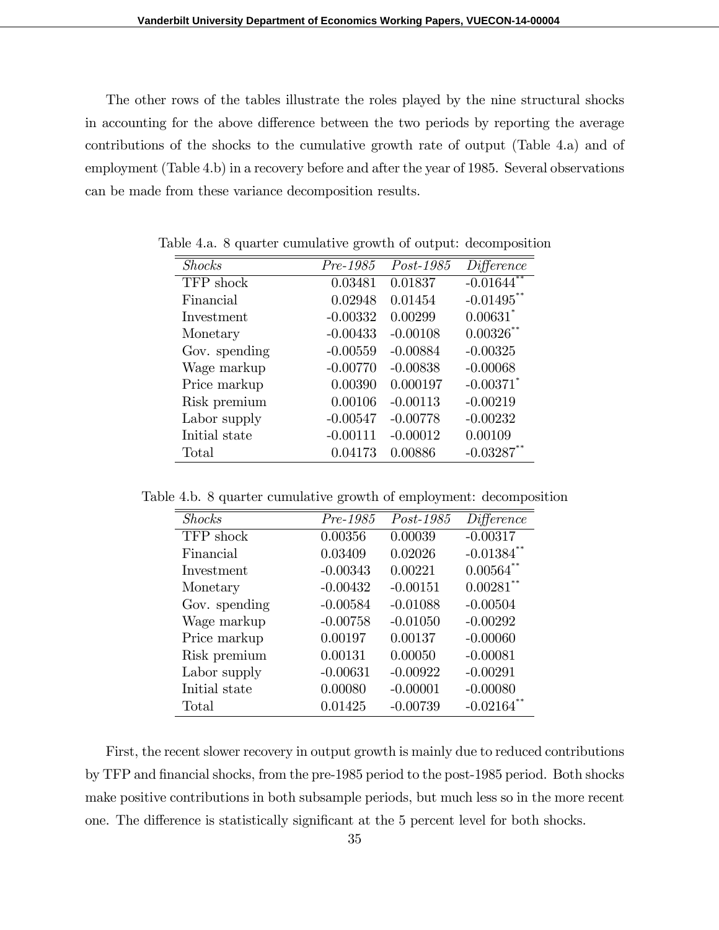The other rows of the tables illustrate the roles played by the nine structural shocks in accounting for the above difference between the two periods by reporting the average contributions of the shocks to the cumulative growth rate of output (Table 4.a) and of employment (Table 4.b) in a recovery before and after the year of 1985. Several observations can be made from these variance decomposition results.

| <b>Shocks</b> | Pre-1985   | Post-1985  | Difference              |
|---------------|------------|------------|-------------------------|
| TFP shock     | 0.03481    | 0.01837    | $-0.01644$ <sup>*</sup> |
| Financial     | 0.02948    | 0.01454    | $-0.01495$ **           |
| Investment    | $-0.00332$ | 0.00299    | $0.00631$ <sup>*</sup>  |
| Monetary      | $-0.00433$ | $-0.00108$ | $0.00326$ **            |
| Gov. spending | $-0.00559$ | $-0.00884$ | $-0.00325$              |
| Wage markup   | $-0.00770$ | $-0.00838$ | $-0.00068$              |
| Price markup  | 0.00390    | 0.000197   | $-0.00371$ <sup>*</sup> |
| Risk premium  | 0.00106    | $-0.00113$ | $-0.00219$              |
| Labor supply  | $-0.00547$ | $-0.00778$ | $-0.00232$              |
| Initial state | $-0.00111$ | $-0.00012$ | 0.00109                 |
| Total         | 0.04173    | 0.00886    | $-0.03287$              |

Table 4.a. 8 quarter cumulative growth of output: decomposition

Table 4.b. 8 quarter cumulative growth of employment: decomposition

| <b>Shocks</b> | $Pre-1985$ | $Post-1985$ | Difference              |
|---------------|------------|-------------|-------------------------|
| TFP shock     | 0.00356    | 0.00039     | $-0.00317$              |
| Financial     | 0.03409    | 0.02026     | $-0.01384$ **           |
| Investment    | $-0.00343$ | 0.00221     | $0.00564$ **            |
| Monetary      | $-0.00432$ | $-0.00151$  | $0.00281$ **            |
| Gov. spending | $-0.00584$ | $-0.01088$  | $-0.00504$              |
| Wage markup   | $-0.00758$ | $-0.01050$  | $-0.00292$              |
| Price markup  | 0.00197    | 0.00137     | $-0.00060$              |
| Risk premium  | 0.00131    | 0.00050     | $-0.00081$              |
| Labor supply  | $-0.00631$ | $-0.00922$  | $-0.00291$              |
| Initial state | 0.00080    | $-0.00001$  | $-0.00080$              |
| Total         | 0.01425    | $-0.00739$  | $-0.02164$ <sup>*</sup> |

First, the recent slower recovery in output growth is mainly due to reduced contributions by TFP and financial shocks, from the pre-1985 period to the post-1985 period. Both shocks make positive contributions in both subsample periods, but much less so in the more recent one. The difference is statistically significant at the 5 percent level for both shocks.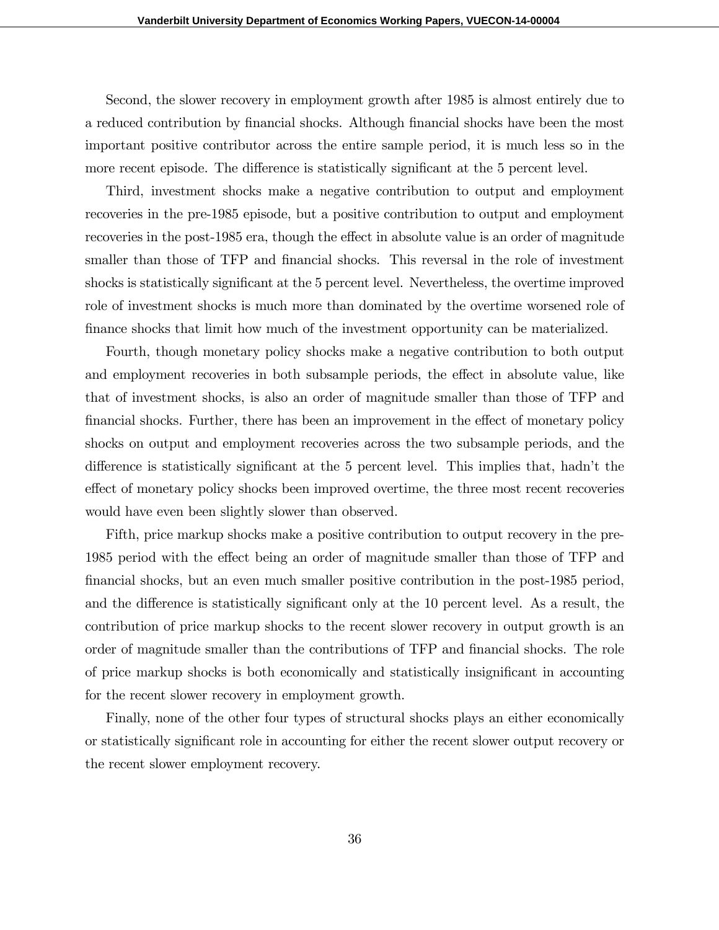Second, the slower recovery in employment growth after 1985 is almost entirely due to a reduced contribution by financial shocks. Although financial shocks have been the most important positive contributor across the entire sample period, it is much less so in the more recent episode. The difference is statistically significant at the 5 percent level.

Third, investment shocks make a negative contribution to output and employment recoveries in the pre-1985 episode, but a positive contribution to output and employment recoveries in the post-1985 era, though the effect in absolute value is an order of magnitude smaller than those of TFP and financial shocks. This reversal in the role of investment shocks is statistically significant at the 5 percent level. Nevertheless, the overtime improved role of investment shocks is much more than dominated by the overtime worsened role of finance shocks that limit how much of the investment opportunity can be materialized.

Fourth, though monetary policy shocks make a negative contribution to both output and employment recoveries in both subsample periods, the effect in absolute value, like that of investment shocks, is also an order of magnitude smaller than those of TFP and financial shocks. Further, there has been an improvement in the effect of monetary policy shocks on output and employment recoveries across the two subsample periods, and the difference is statistically significant at the 5 percent level. This implies that, hadn't the effect of monetary policy shocks been improved overtime, the three most recent recoveries would have even been slightly slower than observed.

Fifth, price markup shocks make a positive contribution to output recovery in the pre-1985 period with the effect being an order of magnitude smaller than those of TFP and financial shocks, but an even much smaller positive contribution in the post-1985 period, and the difference is statistically significant only at the 10 percent level. As a result, the contribution of price markup shocks to the recent slower recovery in output growth is an order of magnitude smaller than the contributions of TFP and financial shocks. The role of price markup shocks is both economically and statistically insignificant in accounting for the recent slower recovery in employment growth.

Finally, none of the other four types of structural shocks plays an either economically or statistically significant role in accounting for either the recent slower output recovery or the recent slower employment recovery.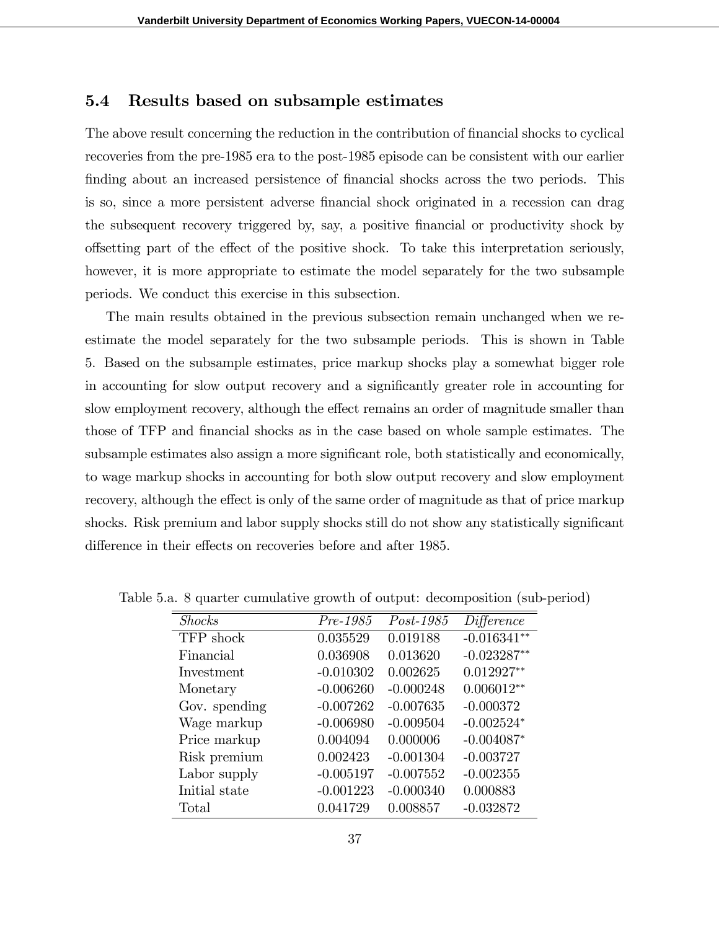### 5.4 Results based on subsample estimates

The above result concerning the reduction in the contribution of financial shocks to cyclical recoveries from the pre-1985 era to the post-1985 episode can be consistent with our earlier finding about an increased persistence of financial shocks across the two periods. This is so, since a more persistent adverse Önancial shock originated in a recession can drag the subsequent recovery triggered by, say, a positive financial or productivity shock by offsetting part of the effect of the positive shock. To take this interpretation seriously, however, it is more appropriate to estimate the model separately for the two subsample periods. We conduct this exercise in this subsection.

The main results obtained in the previous subsection remain unchanged when we reestimate the model separately for the two subsample periods. This is shown in Table 5. Based on the subsample estimates, price markup shocks play a somewhat bigger role in accounting for slow output recovery and a significantly greater role in accounting for slow employment recovery, although the effect remains an order of magnitude smaller than those of TFP and financial shocks as in the case based on whole sample estimates. The subsample estimates also assign a more significant role, both statistically and economically, to wage markup shocks in accounting for both slow output recovery and slow employment recovery, although the effect is only of the same order of magnitude as that of price markup shocks. Risk premium and labor supply shocks still do not show any statistically significant difference in their effects on recoveries before and after 1985.

| <b>Shocks</b> | $Pre-1985$  | Post-1985   | Difference    |
|---------------|-------------|-------------|---------------|
| TFP shock     | 0.035529    | 0.019188    | $-0.016341**$ |
| Financial     | 0.036908    | 0.013620    | $-0.023287**$ |
| Investment    | $-0.010302$ | 0.002625    | $0.012927**$  |
| Monetary      | $-0.006260$ | $-0.000248$ | $0.006012**$  |
| Gov. spending | $-0.007262$ | $-0.007635$ | $-0.000372$   |
| Wage markup   | $-0.006980$ | $-0.009504$ | $-0.002524*$  |
| Price markup  | 0.004094    | 0.000006    | $-0.004087*$  |
| Risk premium  | 0.002423    | $-0.001304$ | $-0.003727$   |
| Labor supply  | $-0.005197$ | $-0.007552$ | $-0.002355$   |
| Initial state | $-0.001223$ | $-0.000340$ | 0.000883      |
| Total         | 0.041729    | 0.008857    | $-0.032872$   |

Table 5.a. 8 quarter cumulative growth of output: decomposition (sub-period)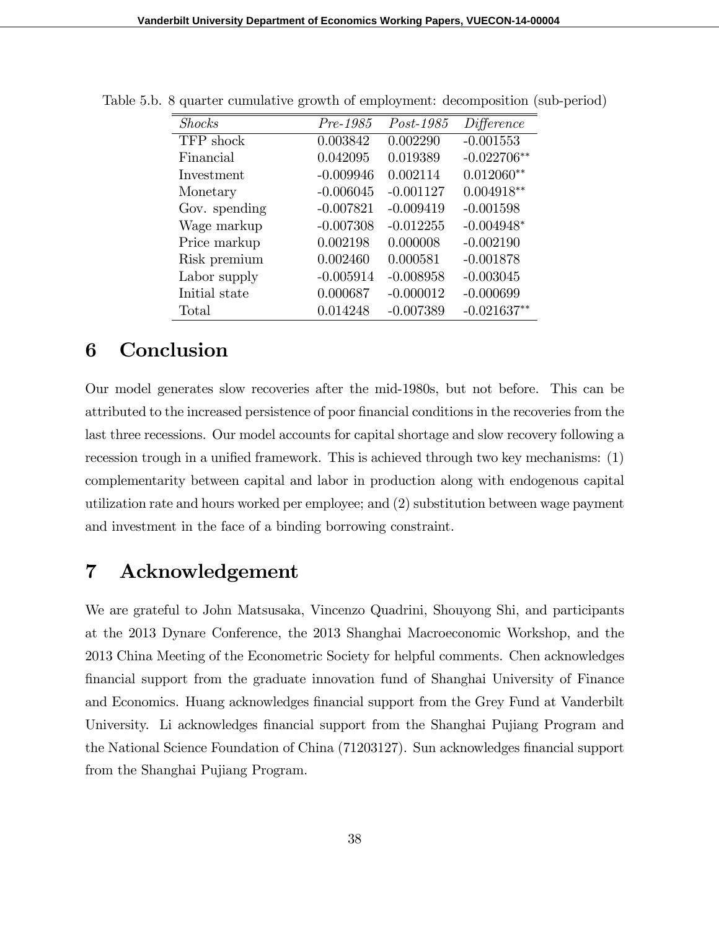| <b>Shocks</b> | Pre-1985    | $Post-1985$ | Difference    |
|---------------|-------------|-------------|---------------|
| TFP shock     | 0.003842    | 0.002290    | $-0.001553$   |
| Financial     | 0.042095    | 0.019389    | $-0.022706**$ |
| Investment    | $-0.009946$ | 0.002114    | $0.012060**$  |
| Monetary      | $-0.006045$ | $-0.001127$ | $0.004918**$  |
| Gov. spending | $-0.007821$ | $-0.009419$ | $-0.001598$   |
| Wage markup   | $-0.007308$ | $-0.012255$ | $-0.004948*$  |
| Price markup  | 0.002198    | 0.000008    | $-0.002190$   |
| Risk premium  | 0.002460    | 0.000581    | $-0.001878$   |
| Labor supply  | $-0.005914$ | $-0.008958$ | $-0.003045$   |
| Initial state | 0.000687    | $-0.000012$ | $-0.000699$   |
| Total         | 0.014248    | $-0.007389$ | $-0.021637**$ |

Table 5.b. 8 quarter cumulative growth of employment: decomposition (sub-period)

## 6 Conclusion

Our model generates slow recoveries after the mid-1980s, but not before. This can be attributed to the increased persistence of poor Önancial conditions in the recoveries from the last three recessions. Our model accounts for capital shortage and slow recovery following a recession trough in a unified framework. This is achieved through two key mechanisms:  $(1)$ complementarity between capital and labor in production along with endogenous capital utilization rate and hours worked per employee; and (2) substitution between wage payment and investment in the face of a binding borrowing constraint.

## 7 Acknowledgement

We are grateful to John Matsusaka, Vincenzo Quadrini, Shouyong Shi, and participants at the 2013 Dynare Conference, the 2013 Shanghai Macroeconomic Workshop, and the 2013 China Meeting of the Econometric Society for helpful comments. Chen acknowledges Önancial support from the graduate innovation fund of Shanghai University of Finance and Economics. Huang acknowledges financial support from the Grey Fund at Vanderbilt University. Li acknowledges financial support from the Shanghai Pujiang Program and the National Science Foundation of China (71203127). Sun acknowledges financial support from the Shanghai Pujiang Program.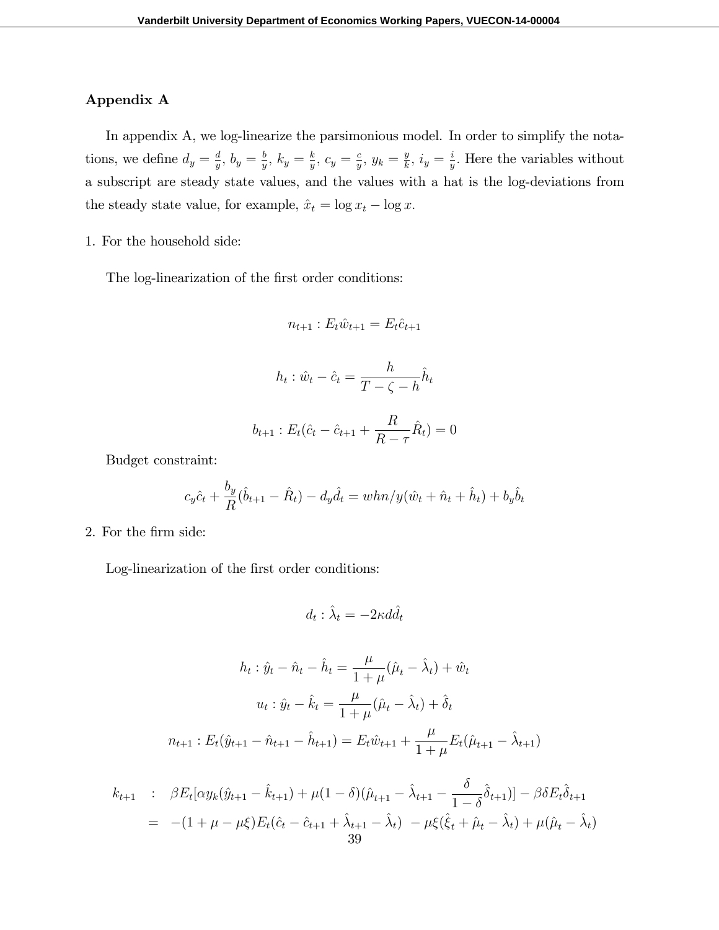### Appendix A

In appendix A, we log-linearize the parsimonious model. In order to simplify the notations, we define  $d_y = \frac{d}{y}$  $\frac{d}{y}, b_y = \frac{b}{y}$  $\frac{b}{y}, k_y = \frac{k}{y}$  $\frac{k}{y}, c_y = \frac{c}{y}$  $\frac{c}{y}, y_k = \frac{y}{k}$  $\frac{y}{k}$ ,  $i_y = \frac{i}{y}$  $\frac{i}{y}$ . Here the variables without a subscript are steady state values, and the values with a hat is the log-deviations from the steady state value, for example,  $\hat{x}_t = \log x_t - \log x$ .

1. For the household side:

The log-linearization of the first order conditions:

$$
n_{t+1} : E_t \hat{w}_{t+1} = E_t \hat{c}_{t+1}
$$

$$
h_t: \hat{w}_t - \hat{c}_t = \frac{h}{T - \zeta - h} \hat{h}_t
$$

$$
b_{t+1}: E_t(\hat{c}_t - \hat{c}_{t+1} + \frac{R}{R - \tau}\hat{R}_t) = 0
$$

Budget constraint:

$$
c_y \hat{c}_t + \frac{b_y}{R} (\hat{b}_{t+1} - \hat{R}_t) - d_y \hat{d}_t = whn/y(\hat{w}_t + \hat{n}_t + \hat{h}_t) + b_y \hat{b}_t
$$

2. For the Örm side:

Log-linearization of the first order conditions:

$$
d_t: \hat{\lambda}_t = -2\kappa d\hat{d}_t
$$

$$
h_t : \hat{y}_t - \hat{n}_t - \hat{h}_t = \frac{\mu}{1 + \mu} (\hat{\mu}_t - \hat{\lambda}_t) + \hat{w}_t
$$

$$
u_t : \hat{y}_t - \hat{k}_t = \frac{\mu}{1 + \mu} (\hat{\mu}_t - \hat{\lambda}_t) + \hat{\delta}_t
$$

$$
n_{t+1} : E_t(\hat{y}_{t+1} - \hat{n}_{t+1} - \hat{h}_{t+1}) = E_t \hat{w}_{t+1} + \frac{\mu}{1 + \mu} E_t(\hat{\mu}_{t+1} - \hat{\lambda}_{t+1})
$$

$$
k_{t+1} : \beta E_t[\alpha y_k(\hat{y}_{t+1} - \hat{k}_{t+1}) + \mu (1 - \delta)(\hat{\mu}_{t+1} - \hat{\lambda}_{t+1} - \frac{\delta}{1 - \delta}\hat{\delta}_{t+1})] - \beta \delta E_t \hat{\delta}_{t+1}
$$
  
= -(1 +  $\mu$  -  $\mu \xi$ ) $E_t(\hat{c}_t - \hat{c}_{t+1} + \hat{\lambda}_{t+1} - \hat{\lambda}_t) - \mu \xi(\hat{\xi}_t + \hat{\mu}_t - \hat{\lambda}_t) + \mu(\hat{\mu}_t - \hat{\lambda}_t)$   
39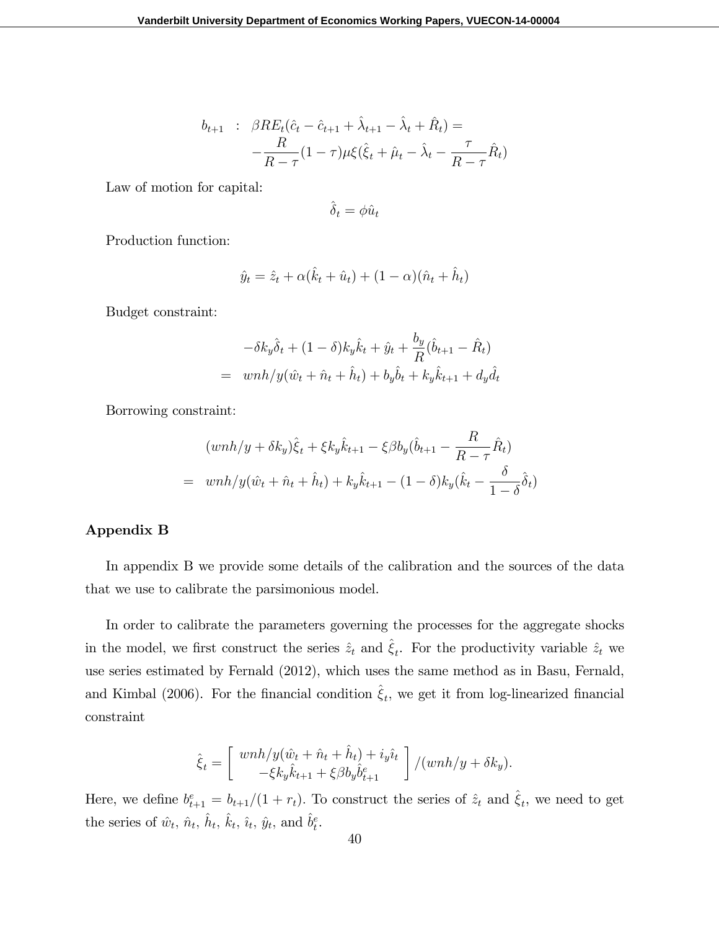$$
b_{t+1} : \beta RE_t(\hat{c}_t - \hat{c}_{t+1} + \hat{\lambda}_{t+1} - \hat{\lambda}_t + \hat{R}_t) =
$$
  

$$
-\frac{R}{R - \tau}(1 - \tau)\mu\xi(\hat{\xi}_t + \hat{\mu}_t - \hat{\lambda}_t - \frac{\tau}{R - \tau}\hat{R}_t)
$$

Law of motion for capital:

$$
\hat{\delta}_t = \phi \hat{u}_t
$$

Production function:

$$
\hat{y}_t = \hat{z}_t + \alpha(\hat{k}_t + \hat{u}_t) + (1 - \alpha)(\hat{n}_t + \hat{h}_t)
$$

Budget constraint:

$$
-\delta k_y \hat{\delta}_t + (1 - \delta) k_y \hat{k}_t + \hat{y}_t + \frac{b_y}{R} (\hat{b}_{t+1} - \hat{R}_t)
$$
  
=  $w n h / y (\hat{w}_t + \hat{n}_t + \hat{h}_t) + b_y \hat{b}_t + k_y \hat{k}_{t+1} + d_y \hat{d}_t$ 

Borrowing constraint:

$$
(wnh/y + \delta k_y)\hat{\xi}_t + \xi k_y \hat{k}_{t+1} - \xi \beta b_y (\hat{b}_{t+1} - \frac{R}{R - \tau} \hat{R}_t)
$$
  
=  $wnh/y(\hat{w}_t + \hat{n}_t + \hat{h}_t) + k_y \hat{k}_{t+1} - (1 - \delta) k_y (\hat{k}_t - \frac{\delta}{1 - \delta} \hat{\delta}_t)$ 

#### Appendix B

In appendix B we provide some details of the calibration and the sources of the data that we use to calibrate the parsimonious model.

In order to calibrate the parameters governing the processes for the aggregate shocks in the model, we first construct the series  $\hat{z}_t$  and  $\hat{\xi}_t$ . For the productivity variable  $\hat{z}_t$  we use series estimated by Fernald (2012), which uses the same method as in Basu, Fernald, and Kimbal (2006). For the financial condition  $\hat{\xi}_t$ , we get it from log-linearized financial constraint

$$
\hat{\xi}_t = \begin{bmatrix} wnh/y(\hat{w}_t + \hat{n}_t + \hat{h}_t) + i_y \hat{i}_t \\ -\xi k_y \hat{k}_{t+1} + \xi \beta b_y \hat{b}_{t+1}^e \end{bmatrix} / (wnh/y + \delta k_y).
$$

Here, we define  $b_{t+1}^e = b_{t+1}/(1 + r_t)$ . To construct the series of  $\hat{z}_t$  and  $\hat{\xi}_t$ , we need to get the series of  $\hat{w}_t$ ,  $\hat{n}_t$ ,  $\hat{h}_t$ ,  $\hat{k}_t$ ,  $\hat{i}_t$ ,  $\hat{y}_t$ , and  $\hat{b}_t^e$ .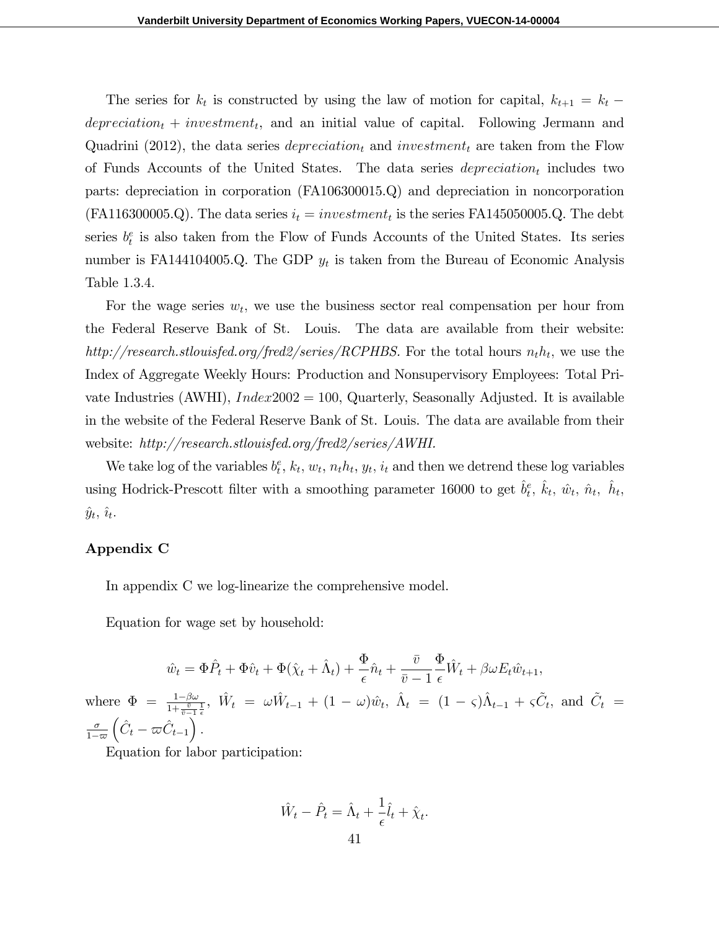The series for  $k_t$  is constructed by using the law of motion for capital,  $k_{t+1} = k_t$  $deprecision_t + investment_t$ , and an initial value of capital. Following Jermann and Quadrini (2012), the data series  $deprecision<sub>t</sub>$  and  $investment<sub>t</sub>$  are taken from the Flow of Funds Accounts of the United States. The data series  $deprecision_t$  includes two parts: depreciation in corporation (FA106300015.Q) and depreciation in noncorporation  $(FA116300005.Q)$ . The data series  $i_t = investment_t$  is the series FA145050005.Q. The debt series  $b_t^e$  is also taken from the Flow of Funds Accounts of the United States. Its series number is FA144104005.Q. The GDP  $y_t$  is taken from the Bureau of Economic Analysis Table 1.3.4.

For the wage series  $w_t$ , we use the business sector real compensation per hour from the Federal Reserve Bank of St. Louis. The data are available from their website: http://research.stlouisfed.org/fred2/series/RCPHBS. For the total hours  $n_t h_t$ , we use the Index of Aggregate Weekly Hours: Production and Nonsupervisory Employees: Total Private Industries (AWHI),  $Index2002 = 100$ , Quarterly, Seasonally Adjusted. It is available in the website of the Federal Reserve Bank of St. Louis. The data are available from their website: http://research.stlouisfed.org/fred2/series/AWHI.

We take log of the variables  $b_t^e$ ,  $k_t$ ,  $w_t$ ,  $n_t h_t$ ,  $y_t$ ,  $i_t$  and then we detrend these log variables using Hodrick-Prescott filter with a smoothing parameter 16000 to get  $\hat{b}^e_t$ ,  $\hat{k}_t$ ,  $\hat{w}_t$ ,  $\hat{n}_t$ ,  $\hat{h}_t$ ,  $\hat{y}_t, \, \hat{\imath}_t.$ 

#### Appendix C

In appendix C we log-linearize the comprehensive model.

Equation for wage set by household:

$$
\hat{w}_t = \Phi \hat{P}_t + \Phi \hat{v}_t + \Phi(\hat{\chi}_t + \hat{\Lambda}_t) + \frac{\Phi}{\epsilon} \hat{n}_t + \frac{\bar{v}}{\bar{v} - 1} \frac{\Phi}{\epsilon} \hat{W}_t + \beta \omega E_t \hat{w}_{t+1},
$$
  
where  $\Phi = \frac{1 - \beta \omega}{1 + \frac{\bar{v}}{\bar{v} - 1} \frac{1}{\epsilon}}, \ \hat{W}_t = \omega \hat{W}_{t-1} + (1 - \omega) \hat{w}_t, \ \hat{\Lambda}_t = (1 - \varsigma) \hat{\Lambda}_{t-1} + \varsigma \tilde{C}_t, \text{ and } \tilde{C}_t = \frac{\sigma}{1 - \varpi} \left( \hat{C}_t - \varpi \hat{C}_{t-1} \right).$ 

Equation for labor participation:

$$
\hat{W}_t - \hat{P}_t = \hat{\Lambda}_t + \frac{1}{\epsilon}\hat{l}_t + \hat{\chi}_t.
$$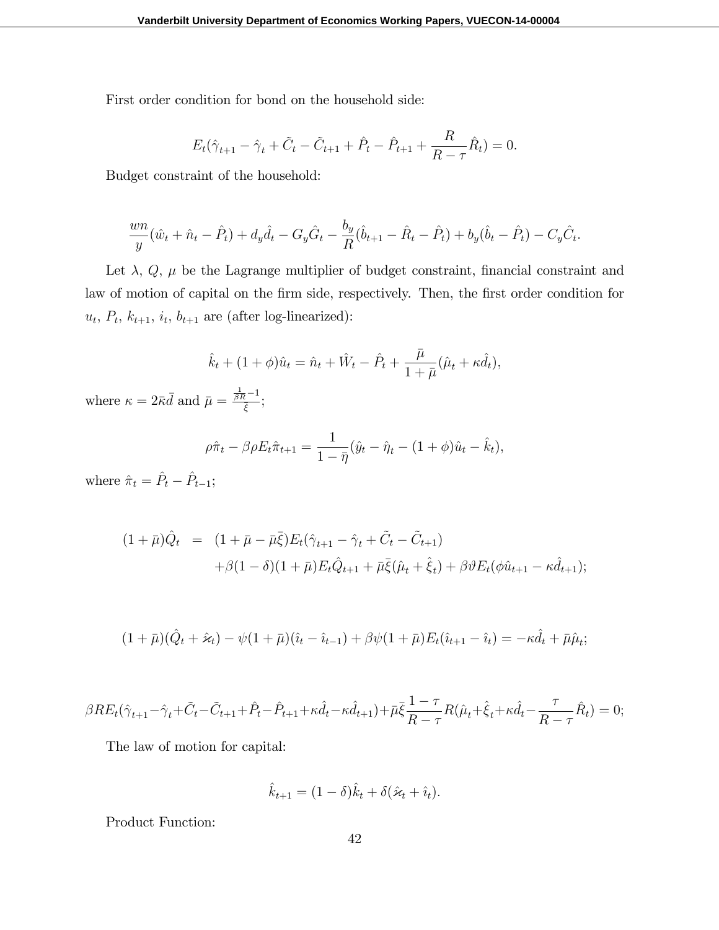First order condition for bond on the household side:

$$
E_t(\hat{\gamma}_{t+1} - \hat{\gamma}_t + \tilde{C}_t - \tilde{C}_{t+1} + \hat{P}_t - \hat{P}_{t+1} + \frac{R}{R - \tau} \hat{R}_t) = 0.
$$

Budget constraint of the household:

$$
\frac{wn}{y}(\hat{w}_t + \hat{n}_t - \hat{P}_t) + d_y\hat{d}_t - G_y\hat{G}_t - \frac{b_y}{R}(\hat{b}_{t+1} - \hat{R}_t - \hat{P}_t) + b_y(\hat{b}_t - \hat{P}_t) - C_y\hat{C}_t.
$$

Let  $\lambda$ ,  $Q$ ,  $\mu$  be the Lagrange multiplier of budget constraint, financial constraint and law of motion of capital on the firm side, respectively. Then, the first order condition for  $u_t$ ,  $P_t$ ,  $k_{t+1}$ ,  $i_t$ ,  $b_{t+1}$  are (after log-linearized):

$$
\hat{k}_t + (1+\phi)\hat{u}_t = \hat{n}_t + \hat{W}_t - \hat{P}_t + \frac{\bar{\mu}}{1+\bar{\mu}}(\hat{\mu}_t + \kappa \hat{d}_t),
$$

where  $\kappa = 2\bar{\kappa}\bar{d}$  and  $\bar{\mu} = \frac{\frac{1}{\beta R} - 1}{\bar{\kappa}}$  $\frac{\overline{\epsilon}}{\overline{\xi}}$ ;

$$
\rho \hat{\pi}_t - \beta \rho E_t \hat{\pi}_{t+1} = \frac{1}{1 - \bar{\eta}} (\hat{y}_t - \hat{\eta}_t - (1 + \phi)\hat{u}_t - \hat{k}_t),
$$

where  $\hat{\pi}_t = \hat{P}_t - \hat{P}_{t-1};$ 

$$
(1 + \bar{\mu})\hat{Q}_t = (1 + \bar{\mu} - \bar{\mu}\bar{\xi})E_t(\hat{\gamma}_{t+1} - \hat{\gamma}_t + \tilde{C}_t - \tilde{C}_{t+1}) + \beta(1 - \delta)(1 + \bar{\mu})E_t\hat{Q}_{t+1} + \bar{\mu}\bar{\xi}(\hat{\mu}_t + \hat{\xi}_t) + \beta\vartheta E_t(\phi\hat{u}_{t+1} - \kappa\hat{d}_{t+1});
$$

$$
(1+\bar{\mu})(\hat{Q}_t+\hat{\varkappa}_t)-\psi(1+\bar{\mu})(\hat{\iota}_t-\hat{\iota}_{t-1})+\beta\psi(1+\bar{\mu})E_t(\hat{\iota}_{t+1}-\hat{\iota}_t)=-\kappa\hat{d}_t+\bar{\mu}\hat{\mu}_t;
$$

$$
\beta RE_t(\hat{\gamma}_{t+1} - \hat{\gamma}_t + \tilde{C}_t - \tilde{C}_{t+1} + \hat{P}_t - \hat{P}_{t+1} + \kappa \hat{d}_t - \kappa \hat{d}_{t+1}) + \bar{\mu}\bar{\xi}\frac{1-\tau}{R-\tau}R(\hat{\mu}_t + \hat{\xi}_t + \kappa \hat{d}_t - \frac{\tau}{R-\tau}\hat{R}_t) = 0;
$$

The law of motion for capital:

$$
\hat{k}_{t+1} = (1 - \delta)\hat{k}_t + \delta(\hat{\varkappa}_t + \hat{\varepsilon}_t).
$$

Product Function: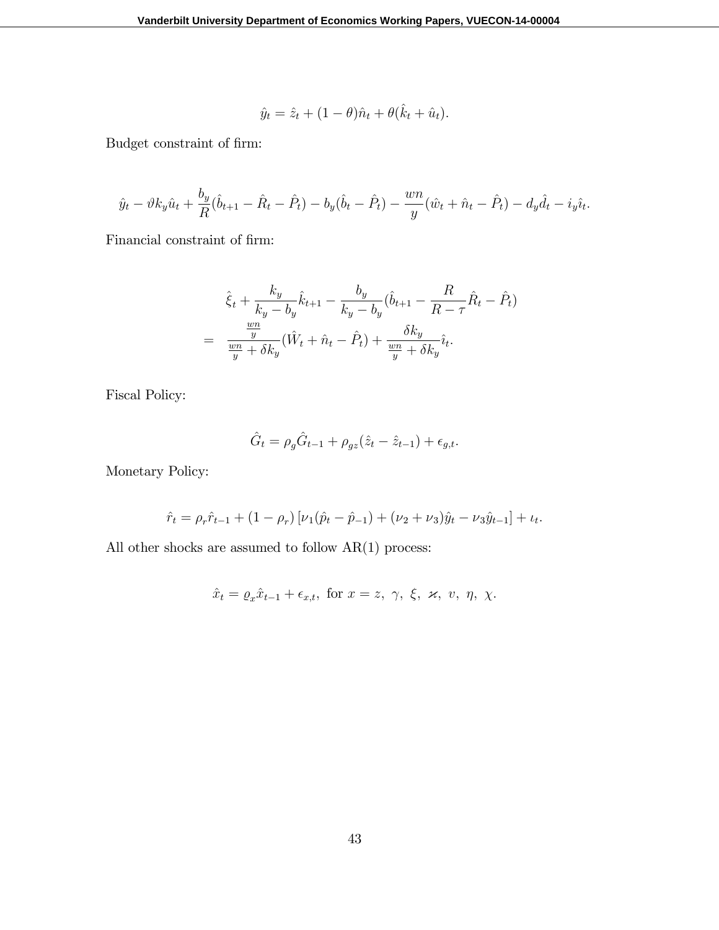$$
\hat{y}_t = \hat{z}_t + (1 - \theta)\hat{n}_t + \theta(\hat{k}_t + \hat{u}_t).
$$

Budget constraint of firm:

$$
\hat{y}_t - \vartheta k_y \hat{u}_t + \frac{b_y}{R} (\hat{b}_{t+1} - \hat{R}_t - \hat{P}_t) - b_y (\hat{b}_t - \hat{P}_t) - \frac{wn}{y} (\hat{w}_t + \hat{n}_t - \hat{P}_t) - d_y \hat{d}_t - i_y \hat{i}_t.
$$

Financial constraint of firm:

$$
\hat{\xi}_t + \frac{k_y}{k_y - b_y} \hat{k}_{t+1} - \frac{b_y}{k_y - b_y} (\hat{b}_{t+1} - \frac{R}{R - \tau} \hat{R}_t - \hat{P}_t)
$$

$$
= \frac{\frac{wn}{y}}{\frac{wn}{y} + \delta k_y} (\hat{W}_t + \hat{n}_t - \hat{P}_t) + \frac{\delta k_y}{\frac{wn}{y} + \delta k_y} \hat{i}_t.
$$

Fiscal Policy:

$$
\hat{G}_t = \rho_g \hat{G}_{t-1} + \rho_{gz} (\hat{z}_t - \hat{z}_{t-1}) + \epsilon_{g,t}.
$$

Monetary Policy:

$$
\hat{r}_t = \rho_r \hat{r}_{t-1} + (1 - \rho_r) \left[ \nu_1 (\hat{p}_t - \hat{p}_{-1}) + (\nu_2 + \nu_3) \hat{y}_t - \nu_3 \hat{y}_{t-1} \right] + \iota_t.
$$

All other shocks are assumed to follow  $AR(1)$  process:

$$
\hat{x}_t = \varrho_x \hat{x}_{t-1} + \epsilon_{x,t}, \text{ for } x = z, \ \gamma, \ \xi, \ \varkappa, \ v, \ \eta, \ \chi.
$$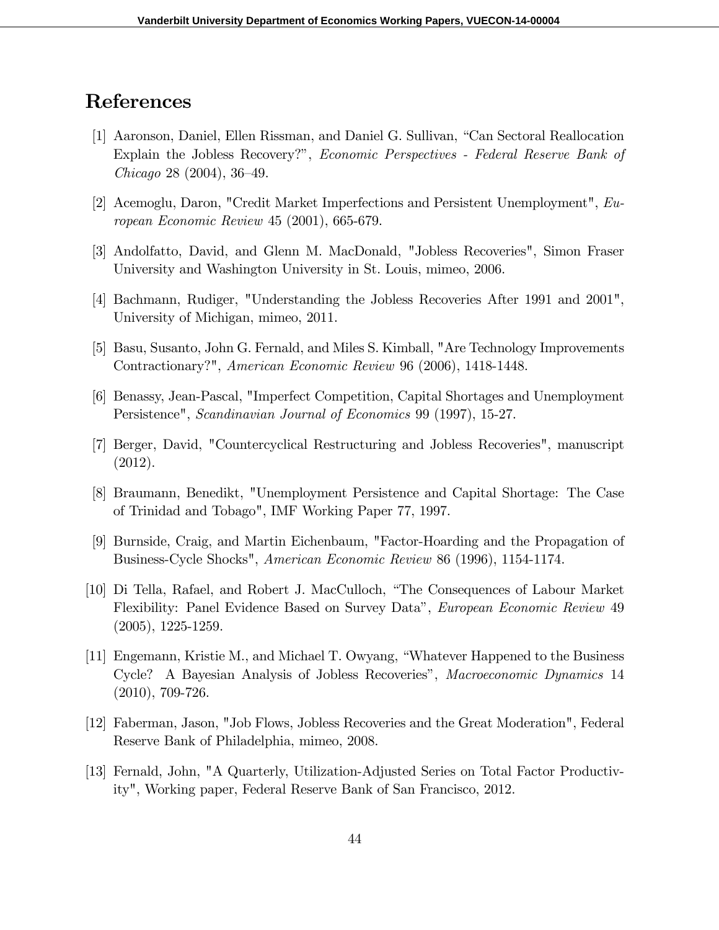## References

- [1] Aaronson, Daniel, Ellen Rissman, and Daniel G. Sullivan, "Can Sectoral Reallocation" Explain the Jobless Recovery?", Economic Perspectives - Federal Reserve Bank of  $Chicago 28 (2004), 36–49.$
- [2] Acemoglu, Daron, "Credit Market Imperfections and Persistent Unemployment", European Economic Review 45 (2001), 665-679.
- [3] Andolfatto, David, and Glenn M. MacDonald, "Jobless Recoveries", Simon Fraser University and Washington University in St. Louis, mimeo, 2006.
- [4] Bachmann, Rudiger, "Understanding the Jobless Recoveries After 1991 and 2001", University of Michigan, mimeo, 2011.
- [5] Basu, Susanto, John G. Fernald, and Miles S. Kimball, "Are Technology Improvements Contractionary?", American Economic Review 96 (2006), 1418-1448.
- [6] Benassy, Jean-Pascal, "Imperfect Competition, Capital Shortages and Unemployment Persistence", Scandinavian Journal of Economics 99 (1997), 15-27.
- [7] Berger, David, "Countercyclical Restructuring and Jobless Recoveries", manuscript (2012).
- [8] Braumann, Benedikt, "Unemployment Persistence and Capital Shortage: The Case of Trinidad and Tobago", IMF Working Paper 77, 1997.
- [9] Burnside, Craig, and Martin Eichenbaum, "Factor-Hoarding and the Propagation of Business-Cycle Shocks", American Economic Review 86 (1996), 1154-1174.
- [10] Di Tella, Rafael, and Robert J. MacCulloch, "The Consequences of Labour Market Flexibility: Panel Evidence Based on Survey Data", European Economic Review 49 (2005), 1225-1259.
- [11] Engemann, Kristie M., and Michael T. Owyang, "Whatever Happened to the Business Cycle? A Bayesian Analysis of Jobless Recoveriesî, Macroeconomic Dynamics 14 (2010), 709-726.
- [12] Faberman, Jason, "Job Flows, Jobless Recoveries and the Great Moderation", Federal Reserve Bank of Philadelphia, mimeo, 2008.
- [13] Fernald, John, "A Quarterly, Utilization-Adjusted Series on Total Factor Productivity", Working paper, Federal Reserve Bank of San Francisco, 2012.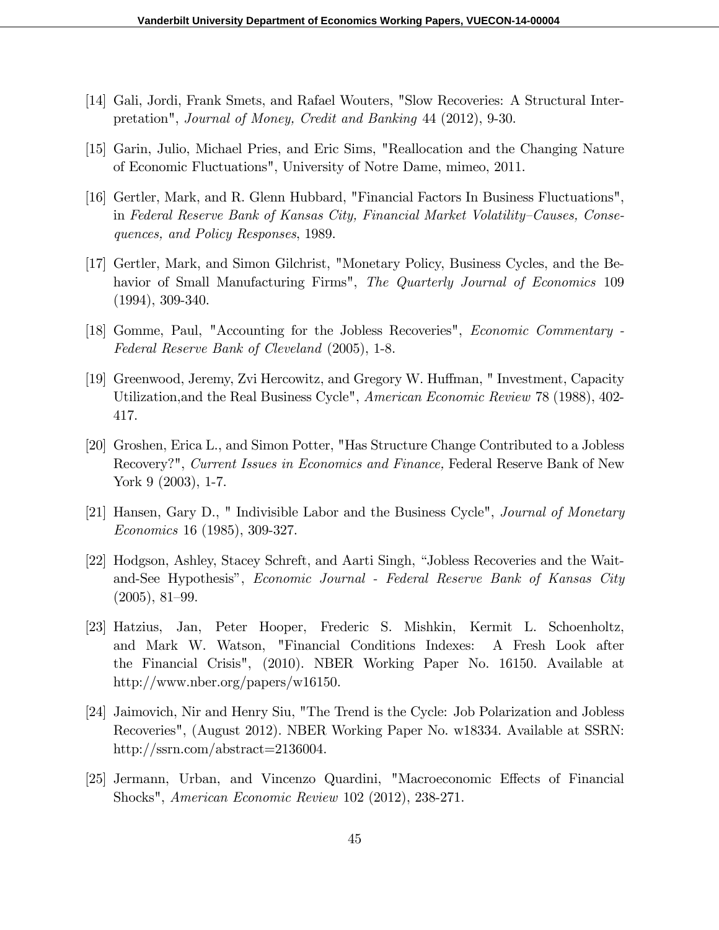- [14] Gali, Jordi, Frank Smets, and Rafael Wouters, "Slow Recoveries: A Structural Interpretation", Journal of Money, Credit and Banking 44 (2012), 9-30.
- [15] Garin, Julio, Michael Pries, and Eric Sims, "Reallocation and the Changing Nature of Economic Fluctuations", University of Notre Dame, mimeo, 2011.
- [16] Gertler, Mark, and R. Glenn Hubbard, "Financial Factors In Business Fluctuations", in Federal Reserve Bank of Kansas City, Financial Market Volatility–Causes, Consequences, and Policy Responses, 1989.
- [17] Gertler, Mark, and Simon Gilchrist, "Monetary Policy, Business Cycles, and the Behavior of Small Manufacturing Firms", The Quarterly Journal of Economics 109 (1994), 309-340.
- [18] Gomme, Paul, "Accounting for the Jobless Recoveries", Economic Commentary Federal Reserve Bank of Cleveland (2005), 1-8.
- [19] Greenwood, Jeremy, Zvi Hercowitz, and Gregory W. Huffman, "Investment, Capacity Utilization,and the Real Business Cycle", American Economic Review 78 (1988), 402- 417.
- [20] Groshen, Erica L., and Simon Potter, "Has Structure Change Contributed to a Jobless Recovery?", Current Issues in Economics and Finance, Federal Reserve Bank of New York 9 (2003), 1-7.
- [21] Hansen, Gary D., " Indivisible Labor and the Business Cycle", Journal of Monetary Economics 16 (1985), 309-327.
- [22] Hodgson, Ashley, Stacey Schreft, and Aarti Singh, "Jobless Recoveries and the Waitand-See Hypothesis", *Economic Journal - Federal Reserve Bank of Kansas City*  $(2005), 81-99.$
- [23] Hatzius, Jan, Peter Hooper, Frederic S. Mishkin, Kermit L. Schoenholtz, and Mark W. Watson, "Financial Conditions Indexes: A Fresh Look after the Financial Crisis", (2010). NBER Working Paper No. 16150. Available at http://www.nber.org/papers/w16150.
- [24] Jaimovich, Nir and Henry Siu, "The Trend is the Cycle: Job Polarization and Jobless Recoveries", (August 2012). NBER Working Paper No. w18334. Available at SSRN: http://ssrn.com/abstract=2136004.
- [25] Jermann, Urban, and Vincenzo Quardini, "Macroeconomic Effects of Financial Shocks", American Economic Review 102 (2012), 238-271.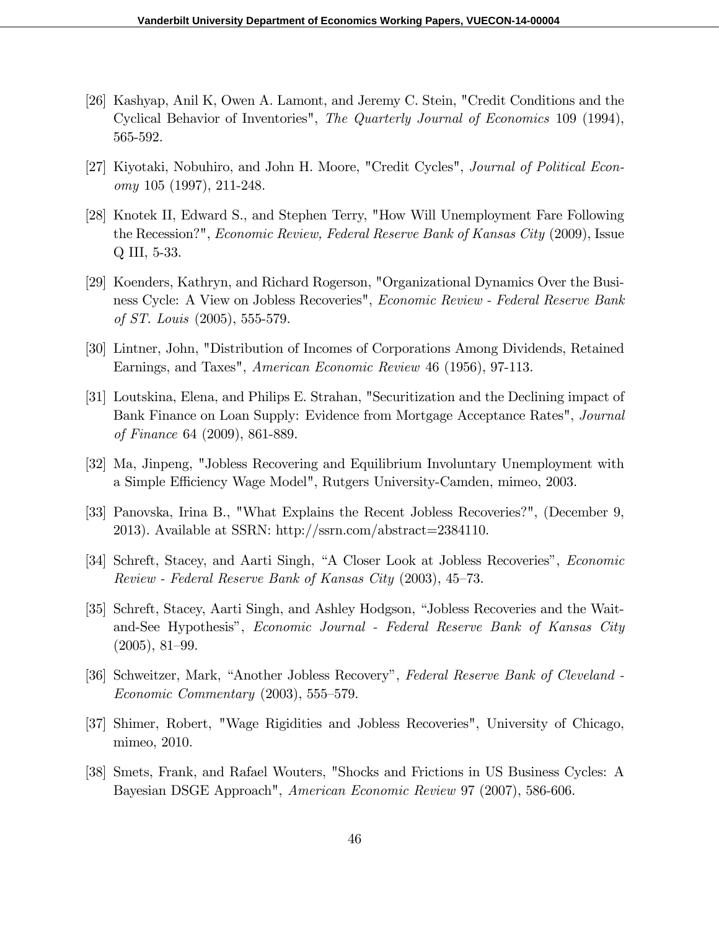- [26] Kashyap, Anil K, Owen A. Lamont, and Jeremy C. Stein, "Credit Conditions and the Cyclical Behavior of Inventories", The Quarterly Journal of Economics 109 (1994), 565-592.
- [27] Kiyotaki, Nobuhiro, and John H. Moore, "Credit Cycles", Journal of Political Economy 105 (1997), 211-248.
- [28] Knotek II, Edward S., and Stephen Terry, "How Will Unemployment Fare Following the Recession?", Economic Review, Federal Reserve Bank of Kansas City (2009), Issue Q III, 5-33.
- [29] Koenders, Kathryn, and Richard Rogerson, "Organizational Dynamics Over the Business Cycle: A View on Jobless Recoveries", Economic Review - Federal Reserve Bank of ST. Louis (2005), 555-579.
- [30] Lintner, John, "Distribution of Incomes of Corporations Among Dividends, Retained Earnings, and Taxes", American Economic Review 46 (1956), 97-113.
- [31] Loutskina, Elena, and Philips E. Strahan, "Securitization and the Declining impact of Bank Finance on Loan Supply: Evidence from Mortgage Acceptance Rates", Journal of Finance 64 (2009), 861-889.
- [32] Ma, Jinpeng, "Jobless Recovering and Equilibrium Involuntary Unemployment with a Simple Efficiency Wage Model", Rutgers University-Camden, mimeo, 2003.
- [33] Panovska, Irina B., "What Explains the Recent Jobless Recoveries?", (December 9, 2013). Available at SSRN: http://ssrn.com/abstract=2384110.
- [34] Schreft, Stacey, and Aarti Singh, "A Closer Look at Jobless Recoveries", *Economic* Review - Federal Reserve Bank of Kansas City  $(2003)$ , 45–73.
- [35] Schreft, Stacey, Aarti Singh, and Ashley Hodgson, "Jobless Recoveries and the Waitand-See Hypothesis", *Economic Journal - Federal Reserve Bank of Kansas City*  $(2005), 81-99.$
- [36] Schweitzer, Mark, "Another Jobless Recovery", Federal Reserve Bank of Cleveland - $Economic \, Commentary \, (2003),\, 555-579.$
- [37] Shimer, Robert, "Wage Rigidities and Jobless Recoveries", University of Chicago, mimeo, 2010.
- [38] Smets, Frank, and Rafael Wouters, "Shocks and Frictions in US Business Cycles: A Bayesian DSGE Approach", American Economic Review 97 (2007), 586-606.